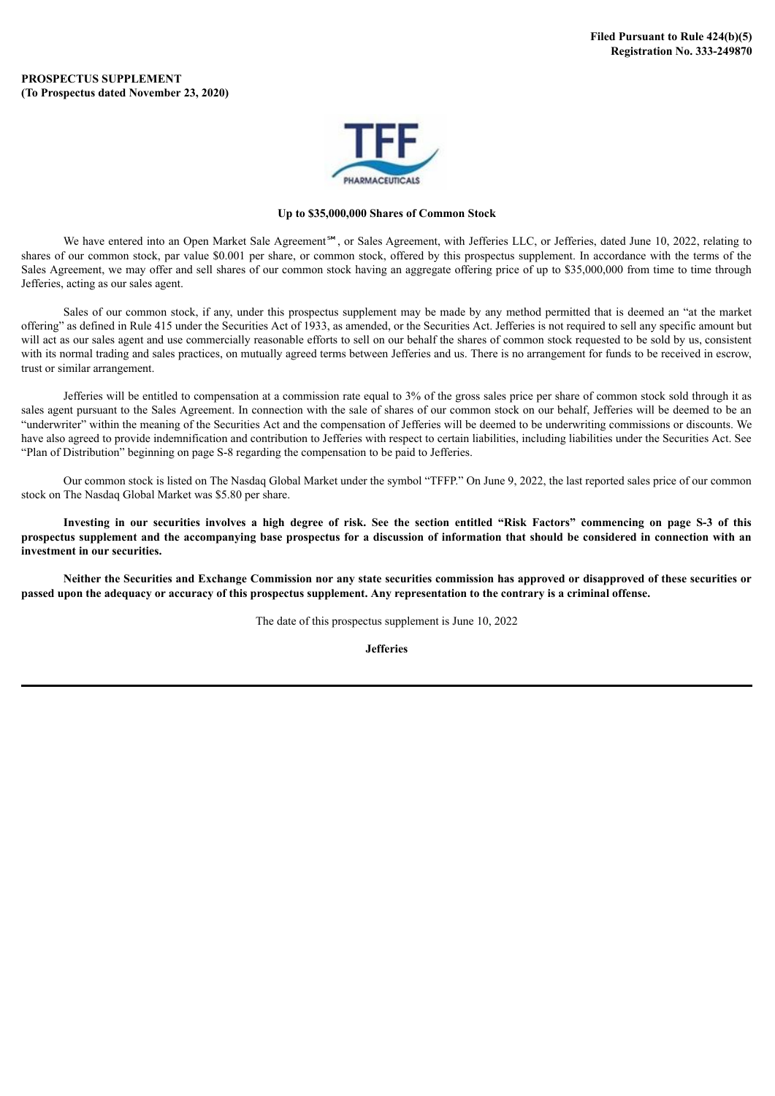### **PROSPECTUS SUPPLEMENT (To Prospectus dated November 23, 2020)**



#### **Up to \$35,000,000 Shares of Common Stock**

We have entered into an Open Market Sale Agreement<sup>sM</sup>, or Sales Agreement, with Jefferies LLC, or Jefferies, dated June 10, 2022, relating to shares of our common stock, par value \$0.001 per share, or common stock, offered by this prospectus supplement. In accordance with the terms of the Sales Agreement, we may offer and sell shares of our common stock having an aggregate offering price of up to \$35,000,000 from time to time through Jefferies, acting as our sales agent.

Sales of our common stock, if any, under this prospectus supplement may be made by any method permitted that is deemed an "at the market offering" as defined in Rule 415 under the Securities Act of 1933, as amended, or the Securities Act. Jefferies is not required to sell any specific amount but will act as our sales agent and use commercially reasonable efforts to sell on our behalf the shares of common stock requested to be sold by us, consistent with its normal trading and sales practices, on mutually agreed terms between Jefferies and us. There is no arrangement for funds to be received in escrow, trust or similar arrangement.

Jefferies will be entitled to compensation at a commission rate equal to 3% of the gross sales price per share of common stock sold through it as sales agent pursuant to the Sales Agreement. In connection with the sale of shares of our common stock on our behalf, Jefferies will be deemed to be an "underwriter" within the meaning of the Securities Act and the compensation of Jefferies will be deemed to be underwriting commissions or discounts. We have also agreed to provide indemnification and contribution to Jefferies with respect to certain liabilities, including liabilities under the Securities Act. See "Plan of Distribution" beginning on page S-8 regarding the compensation to be paid to Jefferies.

Our common stock is listed on The Nasdaq Global Market under the symbol "TFFP." On June 9, 2022, the last reported sales price of our common stock on The Nasdaq Global Market was \$5.80 per share.

Investing in our securities involves a high degree of risk. See the section entitled "Risk Factors" commencing on page S-3 of this prospectus supplement and the accompanying base prospectus for a discussion of information that should be considered in connection with an **investment in our securities.**

Neither the Securities and Exchange Commission nor any state securities commission has approved or disapproved of these securities or passed upon the adequacy or accuracy of this prospectus supplement. Any representation to the contrary is a criminal offense.

The date of this prospectus supplement is June 10, 2022

**Jefferies**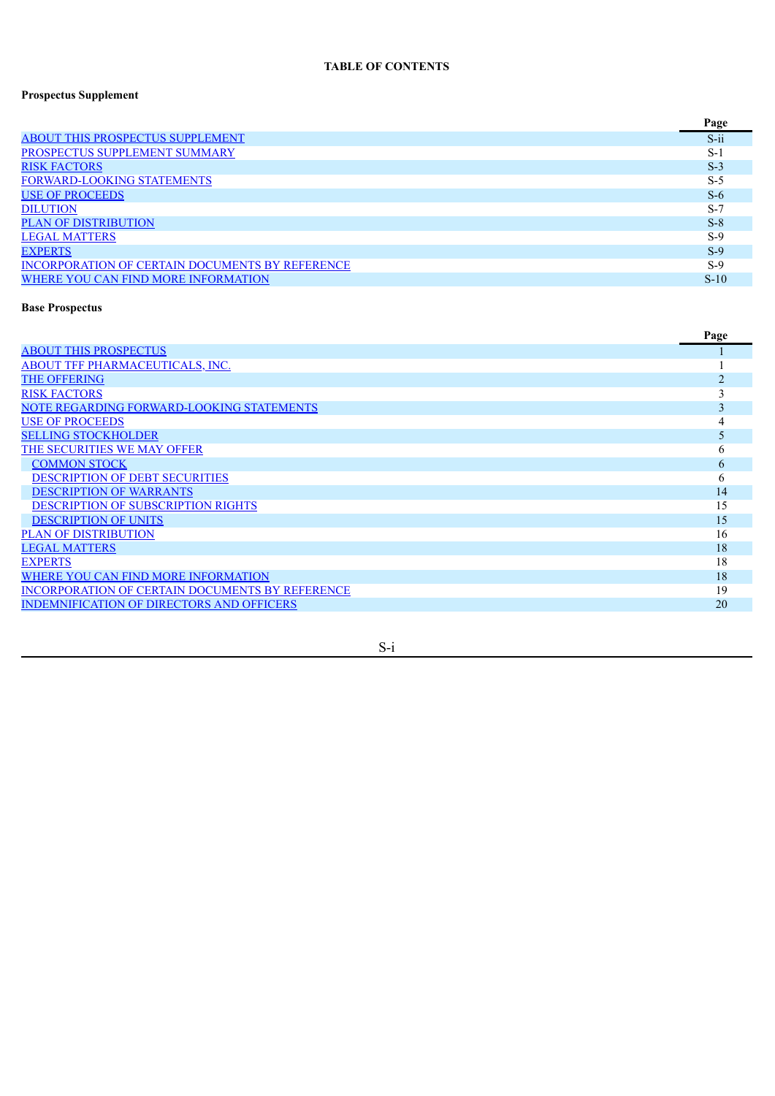## **TABLE OF CONTENTS**

## **Prospectus Supplement**

|                                                        | Page    |
|--------------------------------------------------------|---------|
| <b>ABOUT THIS PROSPECTUS SUPPLEMENT</b>                | $S$ -ii |
| PROSPECTUS SUPPLEMENT SUMMARY                          | $S-1$   |
| <b>RISK FACTORS</b>                                    | $S-3$   |
| <b>FORWARD-LOOKING STATEMENTS</b>                      | $S-5$   |
| <b>USE OF PROCEEDS</b>                                 | $S-6$   |
| <b>DILUTION</b>                                        | $S-7$   |
| <b>PLAN OF DISTRIBUTION</b>                            | $S-8$   |
| <b>LEGAL MATTERS</b>                                   | $S-9$   |
| <b>EXPERTS</b>                                         | $S-9$   |
| <b>INCORPORATION OF CERTAIN DOCUMENTS BY REFERENCE</b> | $S-9$   |
| WHERE YOU CAN FIND MORE INFORMATION                    | $S-10$  |

## **Base Prospectus**

|                                                        | Page |
|--------------------------------------------------------|------|
| <b>ABOUT THIS PROSPECTUS</b>                           |      |
| <b>ABOUT TFF PHARMACEUTICALS, INC.</b>                 |      |
| <b>THE OFFERING</b>                                    | າ    |
| <b>RISK FACTORS</b>                                    |      |
| NOTE REGARDING FORWARD-LOOKING STATEMENTS              | 3    |
| <b>USE OF PROCEEDS</b>                                 |      |
| <b>SELLING STOCKHOLDER</b>                             |      |
| THE SECURITIES WE MAY OFFER                            | 6    |
| <b>COMMON STOCK</b>                                    | 6    |
| <b>DESCRIPTION OF DEBT SECURITIES</b>                  | 6    |
| <b>DESCRIPTION OF WARRANTS</b>                         | 14   |
| <b>DESCRIPTION OF SUBSCRIPTION RIGHTS</b>              | 15   |
| <b>DESCRIPTION OF UNITS</b>                            | 15   |
| <b>PLAN OF DISTRIBUTION</b>                            | 16   |
| <b>LEGAL MATTERS</b>                                   | 18   |
| <b>EXPERTS</b>                                         | 18   |
| WHERE YOU CAN FIND MORE INFORMATION                    | 18   |
| <b>INCORPORATION OF CERTAIN DOCUMENTS BY REFERENCE</b> | 19   |
| <b>INDEMNIFICATION OF DIRECTORS AND OFFICERS</b>       | 20   |
|                                                        |      |

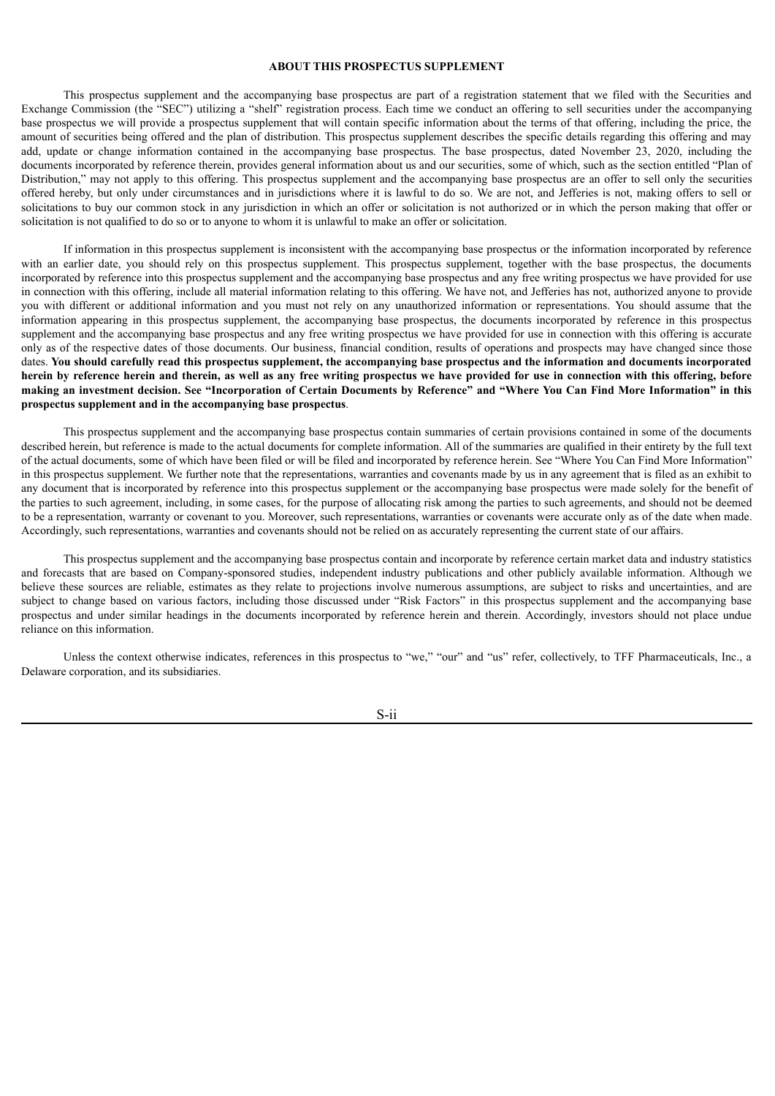#### **ABOUT THIS PROSPECTUS SUPPLEMENT**

<span id="page-2-0"></span>This prospectus supplement and the accompanying base prospectus are part of a registration statement that we filed with the Securities and Exchange Commission (the "SEC") utilizing a "shelf" registration process. Each time we conduct an offering to sell securities under the accompanying base prospectus we will provide a prospectus supplement that will contain specific information about the terms of that offering, including the price, the amount of securities being offered and the plan of distribution. This prospectus supplement describes the specific details regarding this offering and may add, update or change information contained in the accompanying base prospectus. The base prospectus, dated November 23, 2020, including the documents incorporated by reference therein, provides general information about us and our securities, some of which, such as the section entitled "Plan of Distribution," may not apply to this offering. This prospectus supplement and the accompanying base prospectus are an offer to sell only the securities offered hereby, but only under circumstances and in jurisdictions where it is lawful to do so. We are not, and Jefferies is not, making offers to sell or solicitations to buy our common stock in any jurisdiction in which an offer or solicitation is not authorized or in which the person making that offer or solicitation is not qualified to do so or to anyone to whom it is unlawful to make an offer or solicitation.

If information in this prospectus supplement is inconsistent with the accompanying base prospectus or the information incorporated by reference with an earlier date, you should rely on this prospectus supplement. This prospectus supplement, together with the base prospectus, the documents incorporated by reference into this prospectus supplement and the accompanying base prospectus and any free writing prospectus we have provided for use in connection with this offering, include all material information relating to this offering. We have not, and Jefferies has not, authorized anyone to provide you with different or additional information and you must not rely on any unauthorized information or representations. You should assume that the information appearing in this prospectus supplement, the accompanying base prospectus, the documents incorporated by reference in this prospectus supplement and the accompanying base prospectus and any free writing prospectus we have provided for use in connection with this offering is accurate only as of the respective dates of those documents. Our business, financial condition, results of operations and prospects may have changed since those dates. You should carefully read this prospectus supplement, the accompanying base prospectus and the information and documents incorporated herein by reference herein and therein, as well as any free writing prospectus we have provided for use in connection with this offering, before making an investment decision. See "Incorporation of Certain Documents by Reference" and "Where You Can Find More Information" in this **prospectus supplement and in the accompanying base prospectus**.

This prospectus supplement and the accompanying base prospectus contain summaries of certain provisions contained in some of the documents described herein, but reference is made to the actual documents for complete information. All of the summaries are qualified in their entirety by the full text of the actual documents, some of which have been filed or will be filed and incorporated by reference herein. See "Where You Can Find More Information" in this prospectus supplement. We further note that the representations, warranties and covenants made by us in any agreement that is filed as an exhibit to any document that is incorporated by reference into this prospectus supplement or the accompanying base prospectus were made solely for the benefit of the parties to such agreement, including, in some cases, for the purpose of allocating risk among the parties to such agreements, and should not be deemed to be a representation, warranty or covenant to you. Moreover, such representations, warranties or covenants were accurate only as of the date when made. Accordingly, such representations, warranties and covenants should not be relied on as accurately representing the current state of our affairs.

This prospectus supplement and the accompanying base prospectus contain and incorporate by reference certain market data and industry statistics and forecasts that are based on Company-sponsored studies, independent industry publications and other publicly available information. Although we believe these sources are reliable, estimates as they relate to projections involve numerous assumptions, are subject to risks and uncertainties, and are subject to change based on various factors, including those discussed under "Risk Factors" in this prospectus supplement and the accompanying base prospectus and under similar headings in the documents incorporated by reference herein and therein. Accordingly, investors should not place undue reliance on this information.

Unless the context otherwise indicates, references in this prospectus to "we," "our" and "us" refer, collectively, to TFF Pharmaceuticals, Inc., a Delaware corporation, and its subsidiaries.

S-ii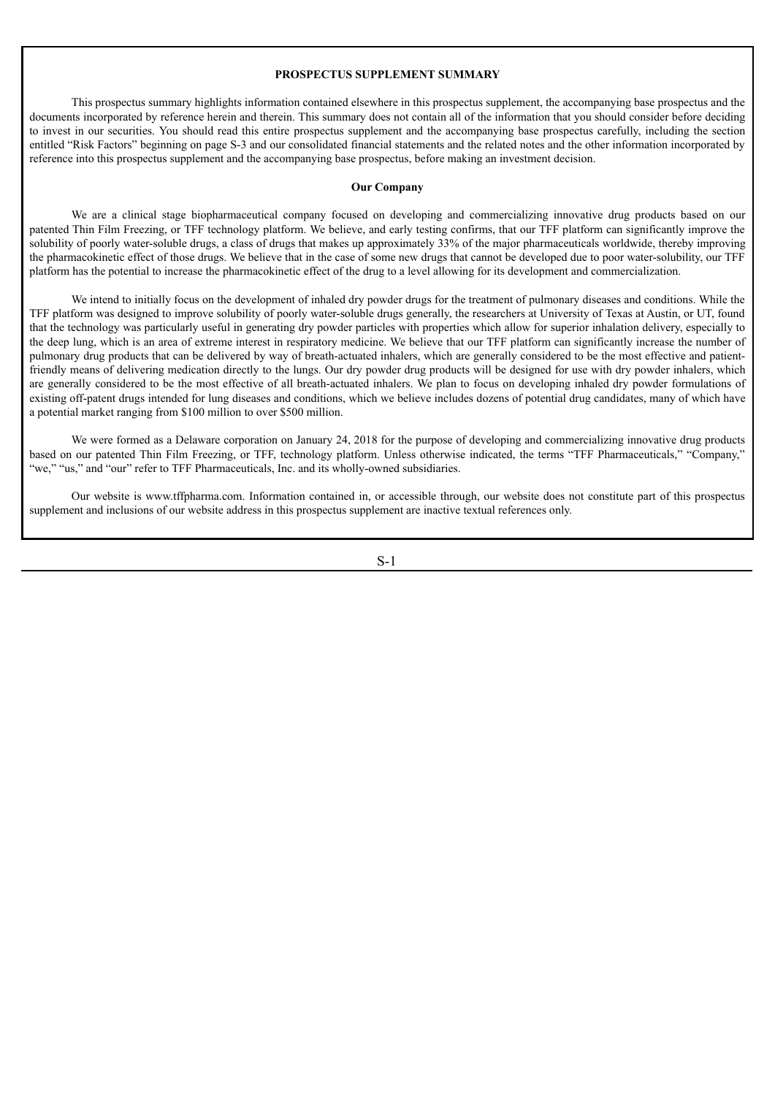#### **PROSPECTUS SUPPLEMENT SUMMARY**

<span id="page-3-0"></span>This prospectus summary highlights information contained elsewhere in this prospectus supplement, the accompanying base prospectus and the documents incorporated by reference herein and therein. This summary does not contain all of the information that you should consider before deciding to invest in our securities. You should read this entire prospectus supplement and the accompanying base prospectus carefully, including the section entitled "Risk Factors" beginning on page S-3 and our consolidated financial statements and the related notes and the other information incorporated by reference into this prospectus supplement and the accompanying base prospectus, before making an investment decision.

#### **Our Company**

We are a clinical stage biopharmaceutical company focused on developing and commercializing innovative drug products based on our patented Thin Film Freezing, or TFF technology platform. We believe, and early testing confirms, that our TFF platform can significantly improve the solubility of poorly water-soluble drugs, a class of drugs that makes up approximately 33% of the major pharmaceuticals worldwide, thereby improving the pharmacokinetic effect of those drugs. We believe that in the case of some new drugs that cannot be developed due to poor water-solubility, our TFF platform has the potential to increase the pharmacokinetic effect of the drug to a level allowing for its development and commercialization.

We intend to initially focus on the development of inhaled dry powder drugs for the treatment of pulmonary diseases and conditions. While the TFF platform was designed to improve solubility of poorly water-soluble drugs generally, the researchers at University of Texas at Austin, or UT, found that the technology was particularly useful in generating dry powder particles with properties which allow for superior inhalation delivery, especially to the deep lung, which is an area of extreme interest in respiratory medicine. We believe that our TFF platform can significantly increase the number of pulmonary drug products that can be delivered by way of breath-actuated inhalers, which are generally considered to be the most effective and patientfriendly means of delivering medication directly to the lungs. Our dry powder drug products will be designed for use with dry powder inhalers, which are generally considered to be the most effective of all breath-actuated inhalers. We plan to focus on developing inhaled dry powder formulations of existing off-patent drugs intended for lung diseases and conditions, which we believe includes dozens of potential drug candidates, many of which have a potential market ranging from \$100 million to over \$500 million.

We were formed as a Delaware corporation on January 24, 2018 for the purpose of developing and commercializing innovative drug products based on our patented Thin Film Freezing, or TFF, technology platform. Unless otherwise indicated, the terms "TFF Pharmaceuticals," "Company," "we," "us," and "our" refer to TFF Pharmaceuticals, Inc. and its wholly-owned subsidiaries.

Our website is www.tffpharma.com. Information contained in, or accessible through, our website does not constitute part of this prospectus supplement and inclusions of our website address in this prospectus supplement are inactive textual references only.

S-1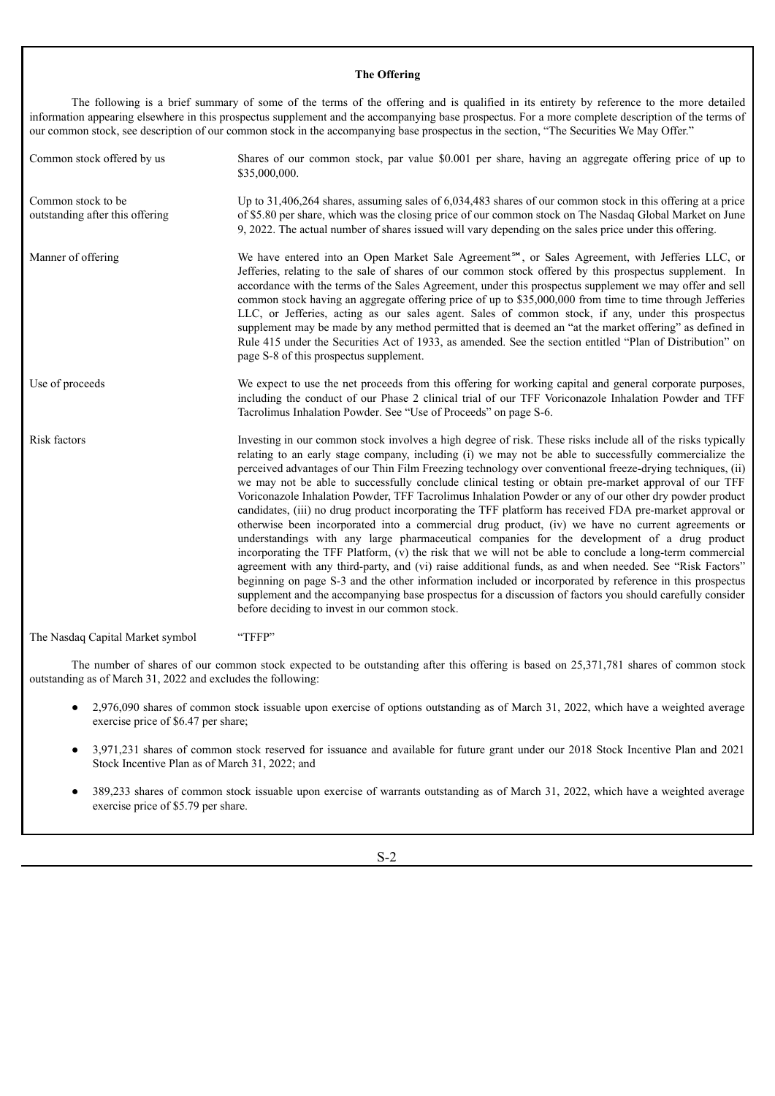## **The Offering**

The following is a brief summary of some of the terms of the offering and is qualified in its entirety by reference to the more detailed information appearing elsewhere in this prospectus supplement and the accompanying base prospectus. For a more complete description of the terms of our common stock, see description of our common stock in the accompanying base prospectus in the section, "The Securities We May Offer."

| Common stock offered by us                            | Shares of our common stock, par value \$0.001 per share, having an aggregate offering price of up to<br>\$35,000,000.                                                                                                                                                                                                                                                                                                                                                                                                                                                                                                                                                                                                                                                                                                                                                                                                                                                                                                                                                                                                                                                                                                                                                                                                                                                       |
|-------------------------------------------------------|-----------------------------------------------------------------------------------------------------------------------------------------------------------------------------------------------------------------------------------------------------------------------------------------------------------------------------------------------------------------------------------------------------------------------------------------------------------------------------------------------------------------------------------------------------------------------------------------------------------------------------------------------------------------------------------------------------------------------------------------------------------------------------------------------------------------------------------------------------------------------------------------------------------------------------------------------------------------------------------------------------------------------------------------------------------------------------------------------------------------------------------------------------------------------------------------------------------------------------------------------------------------------------------------------------------------------------------------------------------------------------|
| Common stock to be<br>outstanding after this offering | Up to 31,406,264 shares, assuming sales of 6,034,483 shares of our common stock in this offering at a price<br>of \$5.80 per share, which was the closing price of our common stock on The Nasdaq Global Market on June<br>9, 2022. The actual number of shares issued will vary depending on the sales price under this offering.                                                                                                                                                                                                                                                                                                                                                                                                                                                                                                                                                                                                                                                                                                                                                                                                                                                                                                                                                                                                                                          |
| Manner of offering                                    | We have entered into an Open Market Sale Agreement <sup>5M</sup> , or Sales Agreement, with Jefferies LLC, or<br>Jefferies, relating to the sale of shares of our common stock offered by this prospectus supplement. In<br>accordance with the terms of the Sales Agreement, under this prospectus supplement we may offer and sell<br>common stock having an aggregate offering price of up to \$35,000,000 from time to time through Jefferies<br>LLC, or Jefferies, acting as our sales agent. Sales of common stock, if any, under this prospectus<br>supplement may be made by any method permitted that is deemed an "at the market offering" as defined in<br>Rule 415 under the Securities Act of 1933, as amended. See the section entitled "Plan of Distribution" on<br>page S-8 of this prospectus supplement.                                                                                                                                                                                                                                                                                                                                                                                                                                                                                                                                                  |
| Use of proceeds                                       | We expect to use the net proceeds from this offering for working capital and general corporate purposes,<br>including the conduct of our Phase 2 clinical trial of our TFF Voriconazole Inhalation Powder and TFF<br>Tacrolimus Inhalation Powder. See "Use of Proceeds" on page S-6.                                                                                                                                                                                                                                                                                                                                                                                                                                                                                                                                                                                                                                                                                                                                                                                                                                                                                                                                                                                                                                                                                       |
| Risk factors                                          | Investing in our common stock involves a high degree of risk. These risks include all of the risks typically<br>relating to an early stage company, including (i) we may not be able to successfully commercialize the<br>perceived advantages of our Thin Film Freezing technology over conventional freeze-drying techniques, (ii)<br>we may not be able to successfully conclude clinical testing or obtain pre-market approval of our TFF<br>Voriconazole Inhalation Powder, TFF Tacrolimus Inhalation Powder or any of our other dry powder product<br>candidates, (iii) no drug product incorporating the TFF platform has received FDA pre-market approval or<br>otherwise been incorporated into a commercial drug product, (iv) we have no current agreements or<br>understandings with any large pharmaceutical companies for the development of a drug product<br>incorporating the TFF Platform, (v) the risk that we will not be able to conclude a long-term commercial<br>agreement with any third-party, and (vi) raise additional funds, as and when needed. See "Risk Factors"<br>beginning on page S-3 and the other information included or incorporated by reference in this prospectus<br>supplement and the accompanying base prospectus for a discussion of factors you should carefully consider<br>before deciding to invest in our common stock. |

The Nasdaq Capital Market symbol "TFFP"

The number of shares of our common stock expected to be outstanding after this offering is based on 25,371,781 shares of common stock outstanding as of March 31, 2022 and excludes the following:

- 2,976,090 shares of common stock issuable upon exercise of options outstanding as of March 31, 2022, which have a weighted average exercise price of \$6.47 per share;
- 3,971,231 shares of common stock reserved for issuance and available for future grant under our 2018 Stock Incentive Plan and 2021 Stock Incentive Plan as of March 31, 2022; and
- 389,233 shares of common stock issuable upon exercise of warrants outstanding as of March 31, 2022, which have a weighted average exercise price of \$5.79 per share.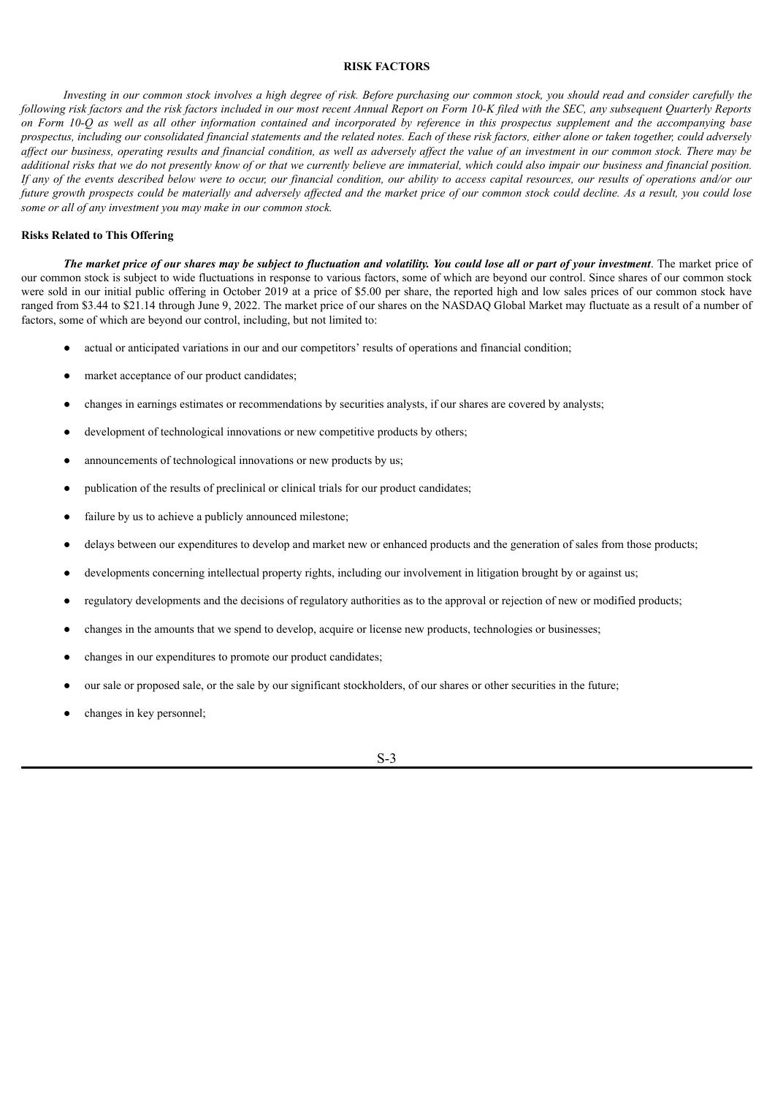#### **RISK FACTORS**

<span id="page-5-0"></span>Investing in our common stock involves a high degree of risk. Before purchasing our common stock, you should read and consider carefully the following risk factors and the risk factors included in our most recent Annual Report on Form 10-K filed with the SEC, any subsequent Ouarterly Reports on Form 10-O as well as all other information contained and incorporated by reference in this prospectus supplement and the accompanying base prospectus, including our consolidated financial statements and the related notes. Each of these risk factors, either alone or taken together, could adversely affect our business, operating results and financial condition, as well as adversely affect the value of an investment in our common stock. There may be additional risks that we do not presently know of or that we currently believe are immaterial, which could also impair our business and financial position. If any of the events described below were to occur, our financial condition, our ability to access capital resources, our results of operations and/or our future growth prospects could be materially and adversely affected and the market price of our common stock could decline. As a result, you could lose *some or all of any investment you may make in our common stock.*

#### **Risks Related to This Offering**

The market price of our shares may be subject to fluctuation and volatility. You could lose all or part of your investment. The market price of our common stock is subject to wide fluctuations in response to various factors, some of which are beyond our control. Since shares of our common stock were sold in our initial public offering in October 2019 at a price of \$5.00 per share, the reported high and low sales prices of our common stock have ranged from \$3.44 to \$21.14 through June 9, 2022. The market price of our shares on the NASDAQ Global Market may fluctuate as a result of a number of factors, some of which are beyond our control, including, but not limited to:

- actual or anticipated variations in our and our competitors' results of operations and financial condition;
- market acceptance of our product candidates;
- changes in earnings estimates or recommendations by securities analysts, if our shares are covered by analysts;
- development of technological innovations or new competitive products by others;
- announcements of technological innovations or new products by us;
- publication of the results of preclinical or clinical trials for our product candidates;
- failure by us to achieve a publicly announced milestone;
- delays between our expenditures to develop and market new or enhanced products and the generation of sales from those products;
- developments concerning intellectual property rights, including our involvement in litigation brought by or against us;
- regulatory developments and the decisions of regulatory authorities as to the approval or rejection of new or modified products;

S-3

- changes in the amounts that we spend to develop, acquire or license new products, technologies or businesses;
- changes in our expenditures to promote our product candidates;
- our sale or proposed sale, or the sale by our significant stockholders, of our shares or other securities in the future;
- changes in key personnel;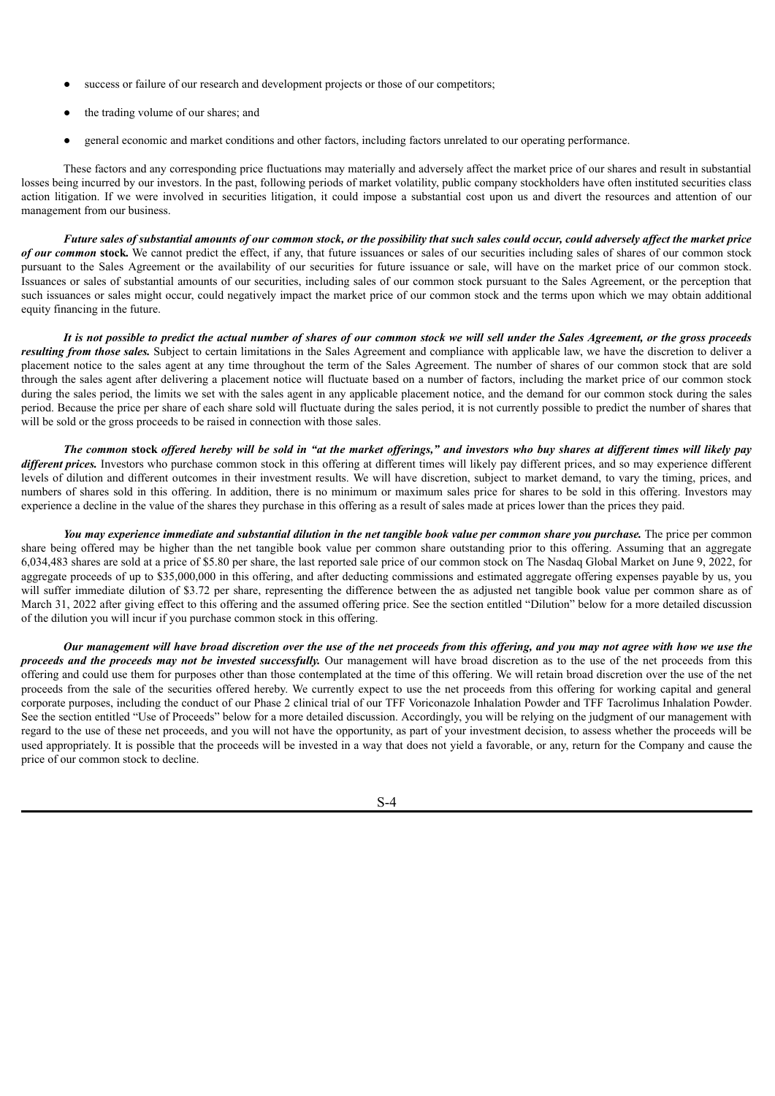- success or failure of our research and development projects or those of our competitors;
- the trading volume of our shares; and
- general economic and market conditions and other factors, including factors unrelated to our operating performance.

These factors and any corresponding price fluctuations may materially and adversely affect the market price of our shares and result in substantial losses being incurred by our investors. In the past, following periods of market volatility, public company stockholders have often instituted securities class action litigation. If we were involved in securities litigation, it could impose a substantial cost upon us and divert the resources and attention of our management from our business.

Future sales of substantial amounts of our common stock, or the possibility that such sales could occur, could adversely affect the market price *of our common* **stock***.* We cannot predict the effect, if any, that future issuances or sales of our securities including sales of shares of our common stock pursuant to the Sales Agreement or the availability of our securities for future issuance or sale, will have on the market price of our common stock. Issuances or sales of substantial amounts of our securities, including sales of our common stock pursuant to the Sales Agreement, or the perception that such issuances or sales might occur, could negatively impact the market price of our common stock and the terms upon which we may obtain additional equity financing in the future.

It is not possible to predict the actual number of shares of our common stock we will sell under the Sales Agreement, or the gross proceeds *resulting from those sales.* Subject to certain limitations in the Sales Agreement and compliance with applicable law, we have the discretion to deliver a placement notice to the sales agent at any time throughout the term of the Sales Agreement. The number of shares of our common stock that are sold through the sales agent after delivering a placement notice will fluctuate based on a number of factors, including the market price of our common stock during the sales period, the limits we set with the sales agent in any applicable placement notice, and the demand for our common stock during the sales period. Because the price per share of each share sold will fluctuate during the sales period, it is not currently possible to predict the number of shares that will be sold or the gross proceeds to be raised in connection with those sales.

The common stock offered hereby will be sold in "at the market offerings," and investors who buy shares at different times will likely pay *different prices*. Investors who purchase common stock in this offering at different times will likely pay different prices, and so may experience different levels of dilution and different outcomes in their investment results. We will have discretion, subject to market demand, to vary the timing, prices, and numbers of shares sold in this offering. In addition, there is no minimum or maximum sales price for shares to be sold in this offering. Investors may experience a decline in the value of the shares they purchase in this offering as a result of sales made at prices lower than the prices they paid.

You may experience immediate and substantial dilution in the net tangible book value per common share you purchase. The price per common share being offered may be higher than the net tangible book value per common share outstanding prior to this offering. Assuming that an aggregate 6,034,483 shares are sold at a price of \$5.80 per share, the last reported sale price of our common stock on The Nasdaq Global Market on June 9, 2022, for aggregate proceeds of up to \$35,000,000 in this offering, and after deducting commissions and estimated aggregate offering expenses payable by us, you will suffer immediate dilution of \$3.72 per share, representing the difference between the as adjusted net tangible book value per common share as of March 31, 2022 after giving effect to this offering and the assumed offering price. See the section entitled "Dilution" below for a more detailed discussion of the dilution you will incur if you purchase common stock in this offering.

Our management will have broad discretion over the use of the net proceeds from this offering, and you may not agree with how we use the *proceeds and the proceeds may not be invested successfully.* Our management will have broad discretion as to the use of the net proceeds from this offering and could use them for purposes other than those contemplated at the time of this offering. We will retain broad discretion over the use of the net proceeds from the sale of the securities offered hereby. We currently expect to use the net proceeds from this offering for working capital and general corporate purposes, including the conduct of our Phase 2 clinical trial of our TFF Voriconazole Inhalation Powder and TFF Tacrolimus Inhalation Powder. See the section entitled "Use of Proceeds" below for a more detailed discussion. Accordingly, you will be relying on the judgment of our management with regard to the use of these net proceeds, and you will not have the opportunity, as part of your investment decision, to assess whether the proceeds will be used appropriately. It is possible that the proceeds will be invested in a way that does not yield a favorable, or any, return for the Company and cause the price of our common stock to decline.

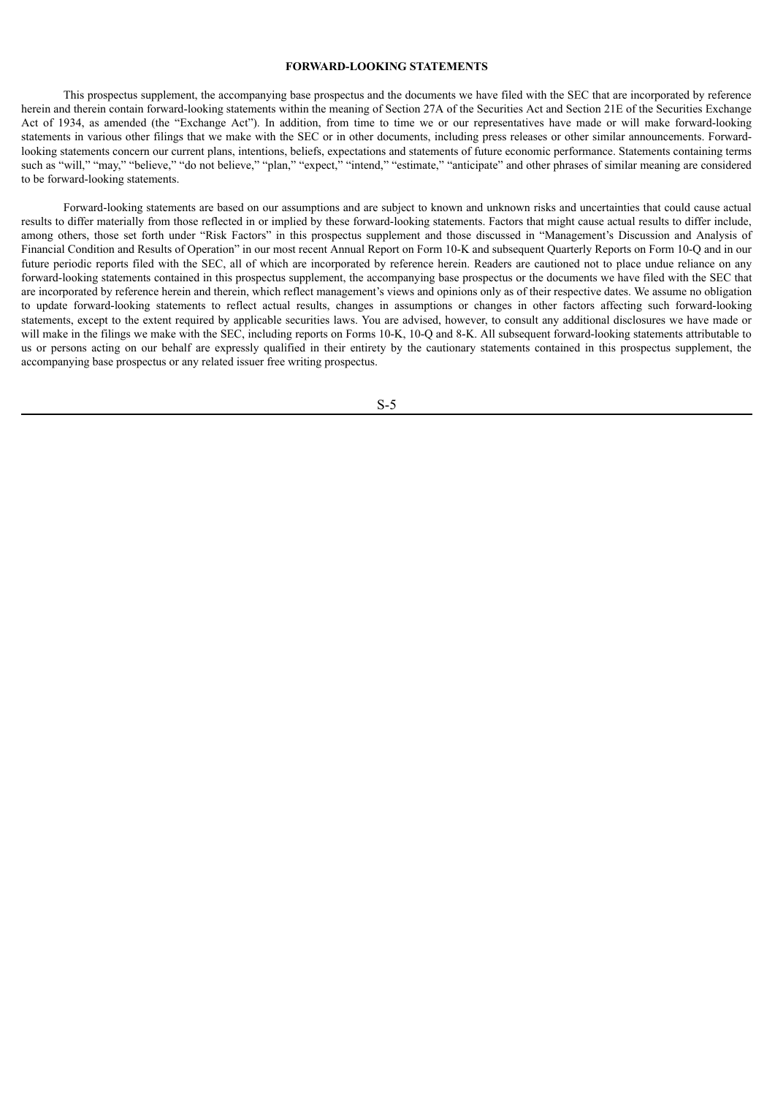### **FORWARD-LOOKING STATEMENTS**

<span id="page-7-0"></span>This prospectus supplement, the accompanying base prospectus and the documents we have filed with the SEC that are incorporated by reference herein and therein contain forward-looking statements within the meaning of Section 27A of the Securities Act and Section 21E of the Securities Exchange Act of 1934, as amended (the "Exchange Act"). In addition, from time to time we or our representatives have made or will make forward-looking statements in various other filings that we make with the SEC or in other documents, including press releases or other similar announcements. Forwardlooking statements concern our current plans, intentions, beliefs, expectations and statements of future economic performance. Statements containing terms such as "will," "may," "believe," "do not believe," "plan," "expect," "intend," "estimate," "anticipate" and other phrases of similar meaning are considered to be forward-looking statements.

Forward-looking statements are based on our assumptions and are subject to known and unknown risks and uncertainties that could cause actual results to differ materially from those reflected in or implied by these forward-looking statements. Factors that might cause actual results to differ include, among others, those set forth under "Risk Factors" in this prospectus supplement and those discussed in "Management's Discussion and Analysis of Financial Condition and Results of Operation" in our most recent Annual Report on Form 10-K and subsequent Quarterly Reports on Form 10-Q and in our future periodic reports filed with the SEC, all of which are incorporated by reference herein. Readers are cautioned not to place undue reliance on any forward-looking statements contained in this prospectus supplement, the accompanying base prospectus or the documents we have filed with the SEC that are incorporated by reference herein and therein, which reflect management's views and opinions only as of their respective dates. We assume no obligation to update forward-looking statements to reflect actual results, changes in assumptions or changes in other factors affecting such forward-looking statements, except to the extent required by applicable securities laws. You are advised, however, to consult any additional disclosures we have made or will make in the filings we make with the SEC, including reports on Forms 10-K, 10-Q and 8-K. All subsequent forward-looking statements attributable to us or persons acting on our behalf are expressly qualified in their entirety by the cautionary statements contained in this prospectus supplement, the accompanying base prospectus or any related issuer free writing prospectus.

S-5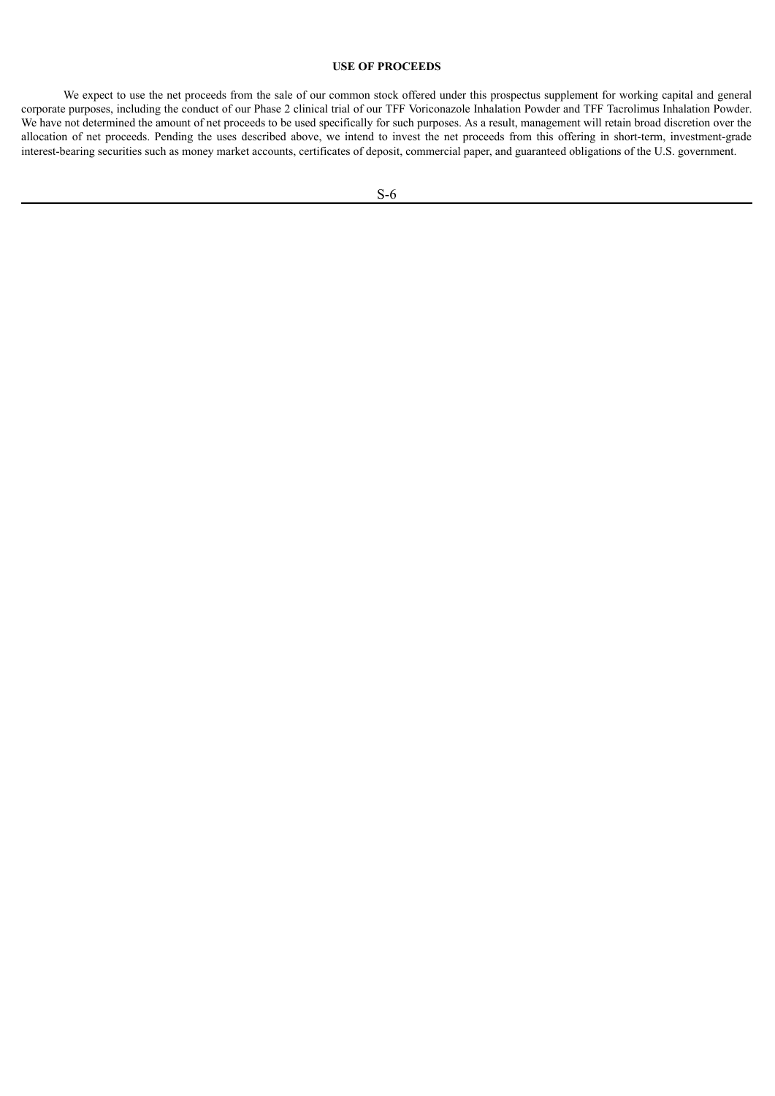## **USE OF PROCEEDS**

<span id="page-8-0"></span>We expect to use the net proceeds from the sale of our common stock offered under this prospectus supplement for working capital and general corporate purposes, including the conduct of our Phase 2 clinical trial of our TFF Voriconazole Inhalation Powder and TFF Tacrolimus Inhalation Powder. We have not determined the amount of net proceeds to be used specifically for such purposes. As a result, management will retain broad discretion over the allocation of net proceeds. Pending the uses described above, we intend to invest the net proceeds from this offering in short-term, investment-grade interest-bearing securities such as money market accounts, certificates of deposit, commercial paper, and guaranteed obligations of the U.S. government.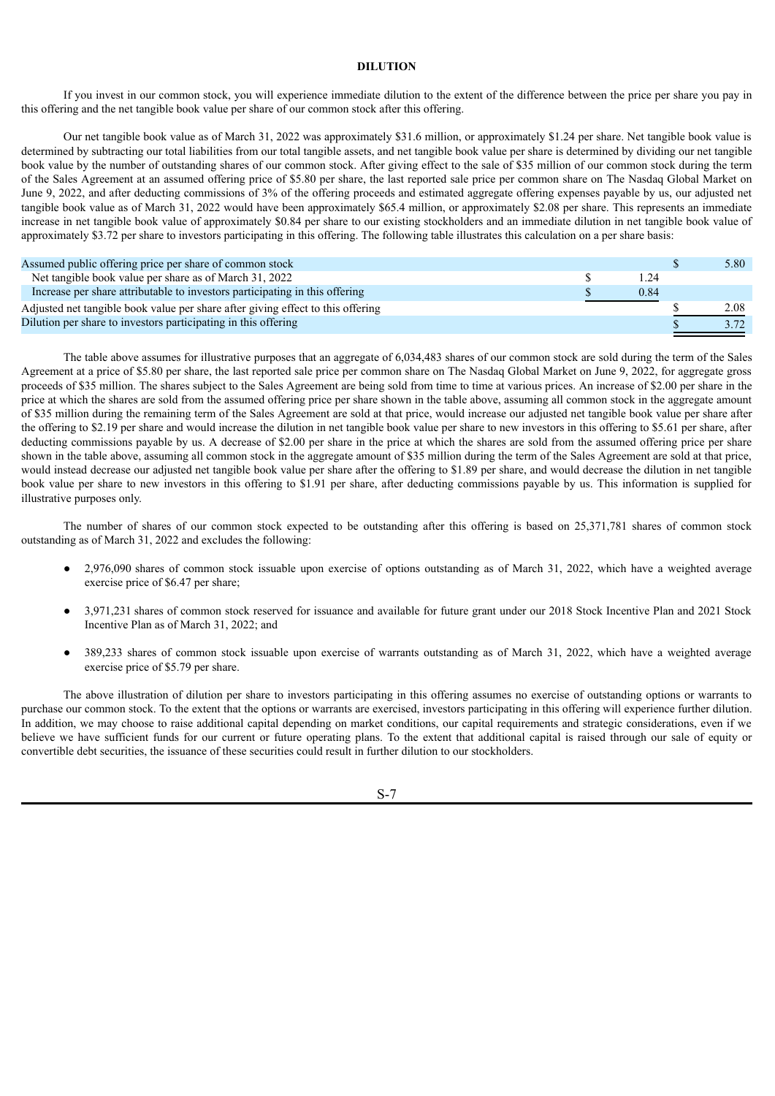## **DILUTION**

<span id="page-9-0"></span>If you invest in our common stock, you will experience immediate dilution to the extent of the difference between the price per share you pay in this offering and the net tangible book value per share of our common stock after this offering.

Our net tangible book value as of March 31, 2022 was approximately \$31.6 million, or approximately \$1.24 per share. Net tangible book value is determined by subtracting our total liabilities from our total tangible assets, and net tangible book value per share is determined by dividing our net tangible book value by the number of outstanding shares of our common stock. After giving effect to the sale of \$35 million of our common stock during the term of the Sales Agreement at an assumed offering price of \$5.80 per share, the last reported sale price per common share on The Nasdaq Global Market on June 9, 2022, and after deducting commissions of 3% of the offering proceeds and estimated aggregate offering expenses payable by us, our adjusted net tangible book value as of March 31, 2022 would have been approximately \$65.4 million, or approximately \$2.08 per share. This represents an immediate increase in net tangible book value of approximately \$0.84 per share to our existing stockholders and an immediate dilution in net tangible book value of approximately \$3.72 per share to investors participating in this offering. The following table illustrates this calculation on a per share basis:

| Assumed public offering price per share of common stock                         |      | 5.80 |
|---------------------------------------------------------------------------------|------|------|
| Net tangible book value per share as of March 31, 2022                          | 124  |      |
| Increase per share attributable to investors participating in this offering     | 0.84 |      |
| Adjusted net tangible book value per share after giving effect to this offering |      | 2.08 |
| Dilution per share to investors participating in this offering                  |      |      |

The table above assumes for illustrative purposes that an aggregate of 6,034,483 shares of our common stock are sold during the term of the Sales Agreement at a price of \$5.80 per share, the last reported sale price per common share on The Nasdaq Global Market on June 9, 2022, for aggregate gross proceeds of \$35 million. The shares subject to the Sales Agreement are being sold from time to time at various prices. An increase of \$2.00 per share in the price at which the shares are sold from the assumed offering price per share shown in the table above, assuming all common stock in the aggregate amount of \$35 million during the remaining term of the Sales Agreement are sold at that price, would increase our adjusted net tangible book value per share after the offering to \$2.19 per share and would increase the dilution in net tangible book value per share to new investors in this offering to \$5.61 per share, after deducting commissions payable by us. A decrease of \$2.00 per share in the price at which the shares are sold from the assumed offering price per share shown in the table above, assuming all common stock in the aggregate amount of \$35 million during the term of the Sales Agreement are sold at that price, would instead decrease our adjusted net tangible book value per share after the offering to \$1.89 per share, and would decrease the dilution in net tangible book value per share to new investors in this offering to \$1.91 per share, after deducting commissions payable by us. This information is supplied for illustrative purposes only.

The number of shares of our common stock expected to be outstanding after this offering is based on 25,371,781 shares of common stock outstanding as of March 31, 2022 and excludes the following:

- 2,976,090 shares of common stock issuable upon exercise of options outstanding as of March 31, 2022, which have a weighted average exercise price of \$6.47 per share;
- 3,971,231 shares of common stock reserved for issuance and available for future grant under our 2018 Stock Incentive Plan and 2021 Stock Incentive Plan as of March 31, 2022; and
- 389,233 shares of common stock issuable upon exercise of warrants outstanding as of March 31, 2022, which have a weighted average exercise price of \$5.79 per share.

The above illustration of dilution per share to investors participating in this offering assumes no exercise of outstanding options or warrants to purchase our common stock. To the extent that the options or warrants are exercised, investors participating in this offering will experience further dilution. In addition, we may choose to raise additional capital depending on market conditions, our capital requirements and strategic considerations, even if we believe we have sufficient funds for our current or future operating plans. To the extent that additional capital is raised through our sale of equity or convertible debt securities, the issuance of these securities could result in further dilution to our stockholders.

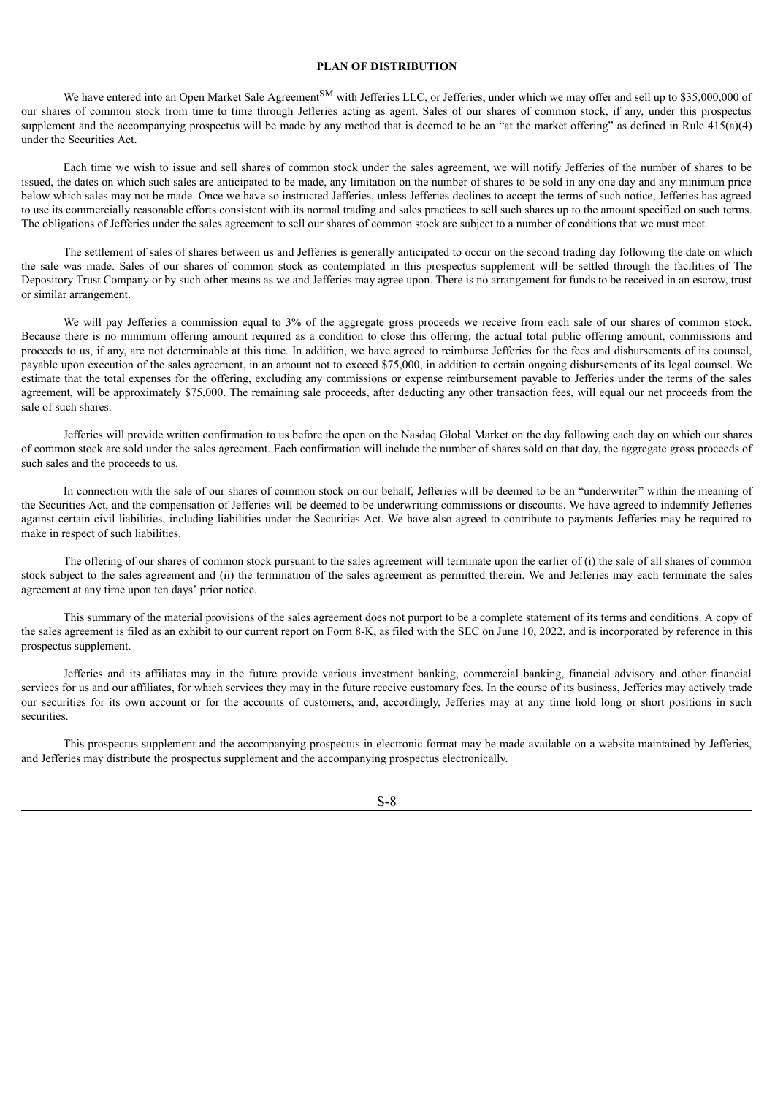#### **PLAN OF DISTRIBUTION**

<span id="page-10-0"></span>We have entered into an Open Market Sale Agreement<sup>SM</sup> with Jefferies LLC, or Jefferies, under which we may offer and sell up to \$35,000,000 of our shares of common stock from time to time through Jefferies acting as agent. Sales of our shares of common stock, if any, under this prospectus supplement and the accompanying prospectus will be made by any method that is deemed to be an "at the market offering" as defined in Rule  $415(a)(4)$ under the Securities Act.

Each time we wish to issue and sell shares of common stock under the sales agreement, we will notify Jefferies of the number of shares to be issued, the dates on which such sales are anticipated to be made, any limitation on the number of shares to be sold in any one day and any minimum price below which sales may not be made. Once we have so instructed Jefferies, unless Jefferies declines to accept the terms of such notice, Jefferies has agreed to use its commercially reasonable efforts consistent with its normal trading and sales practices to sell such shares up to the amount specified on such terms. The obligations of Jefferies under the sales agreement to sell our shares of common stock are subject to a number of conditions that we must meet.

The settlement of sales of shares between us and Jefferies is generally anticipated to occur on the second trading day following the date on which the sale was made. Sales of our shares of common stock as contemplated in this prospectus supplement will be settled through the facilities of The Depository Trust Company or by such other means as we and Jefferies may agree upon. There is no arrangement for funds to be received in an escrow, trust or similar arrangement.

We will pay Jefferies a commission equal to 3% of the aggregate gross proceeds we receive from each sale of our shares of common stock. Because there is no minimum offering amount required as a condition to close this offering, the actual total public offering amount, commissions and proceeds to us, if any, are not determinable at this time. In addition, we have agreed to reimburse Jefferies for the fees and disbursements of its counsel, payable upon execution of the sales agreement, in an amount not to exceed \$75,000, in addition to certain ongoing disbursements of its legal counsel. We estimate that the total expenses for the offering, excluding any commissions or expense reimbursement payable to Jefferies under the terms of the sales agreement, will be approximately \$75,000. The remaining sale proceeds, after deducting any other transaction fees, will equal our net proceeds from the sale of such shares.

Jefferies will provide written confirmation to us before the open on the Nasdaq Global Market on the day following each day on which our shares of common stock are sold under the sales agreement. Each confirmation will include the number of shares sold on that day, the aggregate gross proceeds of such sales and the proceeds to us.

In connection with the sale of our shares of common stock on our behalf, Jefferies will be deemed to be an "underwriter" within the meaning of the Securities Act, and the compensation of Jefferies will be deemed to be underwriting commissions or discounts. We have agreed to indemnify Jefferies against certain civil liabilities, including liabilities under the Securities Act. We have also agreed to contribute to payments Jefferies may be required to make in respect of such liabilities.

The offering of our shares of common stock pursuant to the sales agreement will terminate upon the earlier of (i) the sale of all shares of common stock subject to the sales agreement and (ii) the termination of the sales agreement as permitted therein. We and Jefferies may each terminate the sales agreement at any time upon ten days' prior notice.

This summary of the material provisions of the sales agreement does not purport to be a complete statement of its terms and conditions. A copy of the sales agreement is filed as an exhibit to our current report on Form 8-K, as filed with the SEC on June 10, 2022, and is incorporated by reference in this prospectus supplement.

Jefferies and its affiliates may in the future provide various investment banking, commercial banking, financial advisory and other financial services for us and our affiliates, for which services they may in the future receive customary fees. In the course of its business, Jefferies may actively trade our securities for its own account or for the accounts of customers, and, accordingly, Jefferies may at any time hold long or short positions in such securities.

This prospectus supplement and the accompanying prospectus in electronic format may be made available on a website maintained by Jefferies, and Jefferies may distribute the prospectus supplement and the accompanying prospectus electronically.

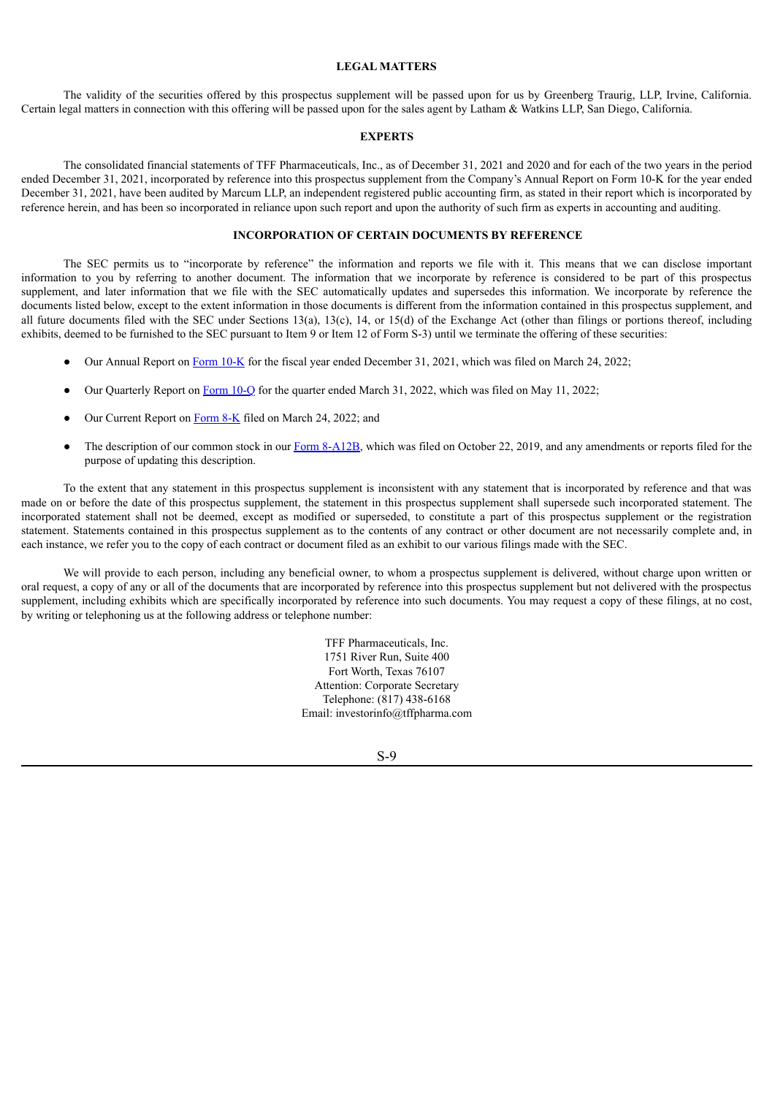### **LEGAL MATTERS**

<span id="page-11-0"></span>The validity of the securities offered by this prospectus supplement will be passed upon for us by Greenberg Traurig, LLP, Irvine, California. Certain legal matters in connection with this offering will be passed upon for the sales agent by Latham & Watkins LLP, San Diego, California.

#### **EXPERTS**

<span id="page-11-1"></span>The consolidated financial statements of TFF Pharmaceuticals, Inc., as of December 31, 2021 and 2020 and for each of the two years in the period ended December 31, 2021, incorporated by reference into this prospectus supplement from the Company's Annual Report on Form 10-K for the year ended December 31, 2021, have been audited by Marcum LLP, an independent registered public accounting firm, as stated in their report which is incorporated by reference herein, and has been so incorporated in reliance upon such report and upon the authority of such firm as experts in accounting and auditing.

## **INCORPORATION OF CERTAIN DOCUMENTS BY REFERENCE**

<span id="page-11-2"></span>The SEC permits us to "incorporate by reference" the information and reports we file with it. This means that we can disclose important information to you by referring to another document. The information that we incorporate by reference is considered to be part of this prospectus supplement, and later information that we file with the SEC automatically updates and supersedes this information. We incorporate by reference the documents listed below, except to the extent information in those documents is different from the information contained in this prospectus supplement, and all future documents filed with the SEC under Sections 13(a), 13(c), 14, or 15(d) of the Exchange Act (other than filings or portions thereof, including exhibits, deemed to be furnished to the SEC pursuant to Item 9 or Item 12 of Form S-3) until we terminate the offering of these securities:

- Our Annual Report on [Form](http://www.sec.gov/Archives/edgar/data/1733413/000121390022014844/f10k2021_tffpharma.htm) 10-K for the fiscal year ended December 31, 2021, which was filed on March 24, 2022;
- Our Quarterly Report on [Form](http://www.sec.gov/Archives/edgar/data/1733413/000121390022025580/f10q0322_tffpharma.htm) 10-Q for the quarter ended March 31, 2022, which was filed on May 11, 2022;
- Our Current Report on [Form](http://www.sec.gov/Archives/edgar/data/1733413/000121390022014839/ea157352-8k_tffpharmace.htm) 8-K filed on March 24, 2022; and
- The description of our common stock in our Form [8-A12B,](http://www.sec.gov/Archives/edgar/data/1733413/000121390019020831/f8a12b101519_tffpharma.htm) which was filed on October 22, 2019, and any amendments or reports filed for the purpose of updating this description.

To the extent that any statement in this prospectus supplement is inconsistent with any statement that is incorporated by reference and that was made on or before the date of this prospectus supplement, the statement in this prospectus supplement shall supersede such incorporated statement. The incorporated statement shall not be deemed, except as modified or superseded, to constitute a part of this prospectus supplement or the registration statement. Statements contained in this prospectus supplement as to the contents of any contract or other document are not necessarily complete and, in each instance, we refer you to the copy of each contract or document filed as an exhibit to our various filings made with the SEC.

We will provide to each person, including any beneficial owner, to whom a prospectus supplement is delivered, without charge upon written or oral request, a copy of any or all of the documents that are incorporated by reference into this prospectus supplement but not delivered with the prospectus supplement, including exhibits which are specifically incorporated by reference into such documents. You may request a copy of these filings, at no cost, by writing or telephoning us at the following address or telephone number:

> TFF Pharmaceuticals, Inc. 1751 River Run, Suite 400 Fort Worth, Texas 76107 Attention: Corporate Secretary Telephone: (817) 438-6168 Email: investorinfo@tffpharma.com

> > S-9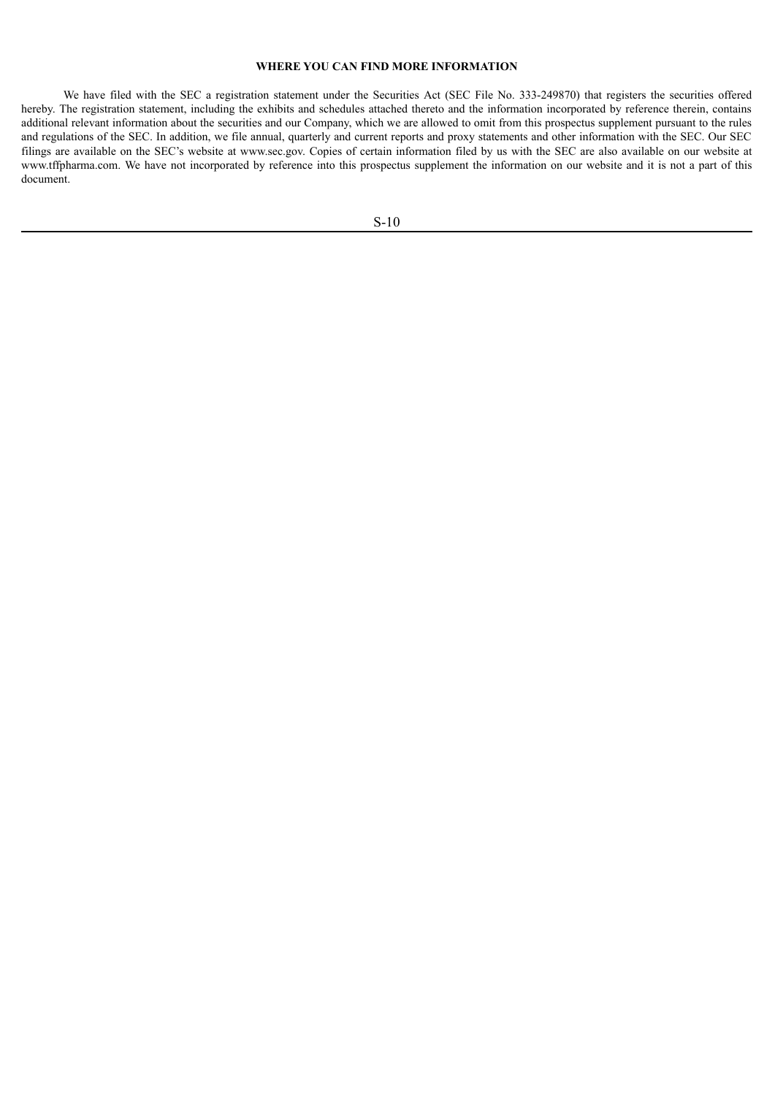### **WHERE YOU CAN FIND MORE INFORMATION**

<span id="page-12-0"></span>We have filed with the SEC a registration statement under the Securities Act (SEC File No. 333-249870) that registers the securities offered hereby. The registration statement, including the exhibits and schedules attached thereto and the information incorporated by reference therein, contains additional relevant information about the securities and our Company, which we are allowed to omit from this prospectus supplement pursuant to the rules and regulations of the SEC. In addition, we file annual, quarterly and current reports and proxy statements and other information with the SEC. Our SEC filings are available on the SEC's website at www.sec.gov. Copies of certain information filed by us with the SEC are also available on our website at www.tffpharma.com. We have not incorporated by reference into this prospectus supplement the information on our website and it is not a part of this document.

S-10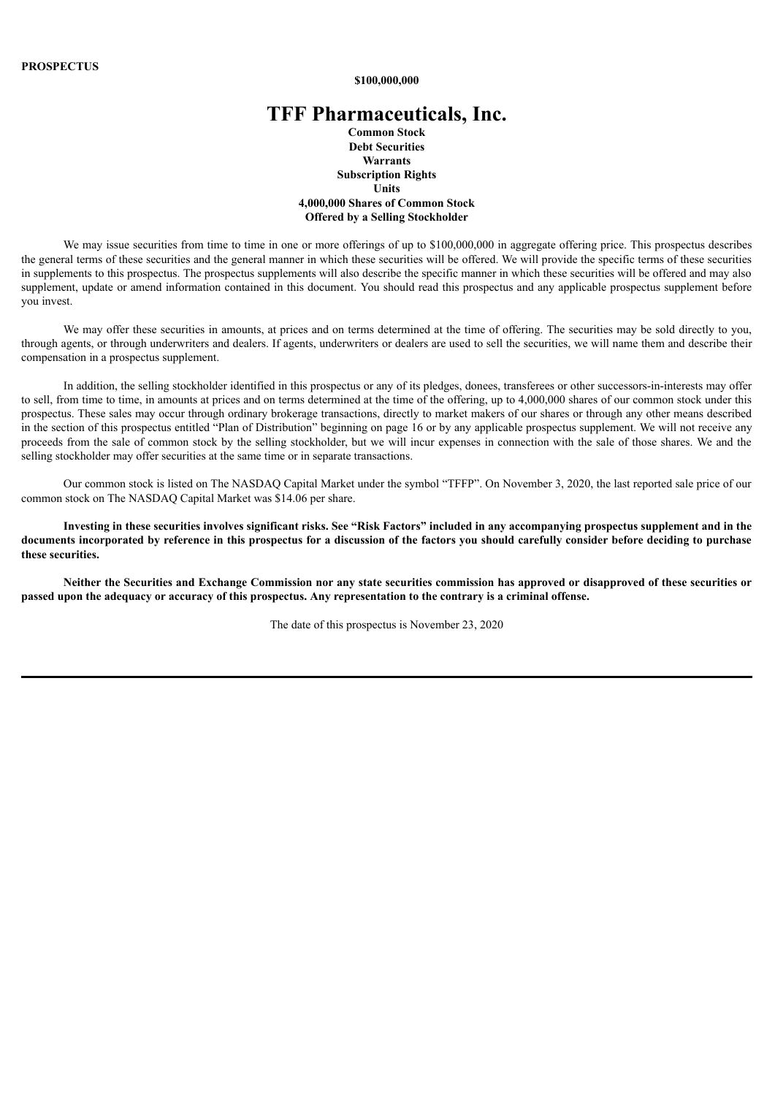**\$100,000,000**

# **TFF Pharmaceuticals, Inc.**

**Common Stock Debt Securities Warrants Subscription Rights Units 4,000,000 Shares of Common Stock Offered by a Selling Stockholder**

We may issue securities from time to time in one or more offerings of up to \$100,000,000 in aggregate offering price. This prospectus describes the general terms of these securities and the general manner in which these securities will be offered. We will provide the specific terms of these securities in supplements to this prospectus. The prospectus supplements will also describe the specific manner in which these securities will be offered and may also supplement, update or amend information contained in this document. You should read this prospectus and any applicable prospectus supplement before you invest.

We may offer these securities in amounts, at prices and on terms determined at the time of offering. The securities may be sold directly to you, through agents, or through underwriters and dealers. If agents, underwriters or dealers are used to sell the securities, we will name them and describe their compensation in a prospectus supplement.

In addition, the selling stockholder identified in this prospectus or any of its pledges, donees, transferees or other successors-in-interests may offer to sell, from time to time, in amounts at prices and on terms determined at the time of the offering, up to 4,000,000 shares of our common stock under this prospectus. These sales may occur through ordinary brokerage transactions, directly to market makers of our shares or through any other means described in the section of this prospectus entitled "Plan of Distribution" beginning on page 16 or by any applicable prospectus supplement. We will not receive any proceeds from the sale of common stock by the selling stockholder, but we will incur expenses in connection with the sale of those shares. We and the selling stockholder may offer securities at the same time or in separate transactions.

Our common stock is listed on The NASDAQ Capital Market under the symbol "TFFP". On November 3, 2020, the last reported sale price of our common stock on The NASDAQ Capital Market was \$14.06 per share.

Investing in these securities involves significant risks. See "Risk Factors" included in any accompanying prospectus supplement and in the documents incorporated by reference in this prospectus for a discussion of the factors you should carefully consider before deciding to purchase **these securities.**

Neither the Securities and Exchange Commission nor any state securities commission has approved or disapproved of these securities or passed upon the adequacy or accuracy of this prospectus. Any representation to the contrary is a criminal offense.

The date of this prospectus is November 23, 2020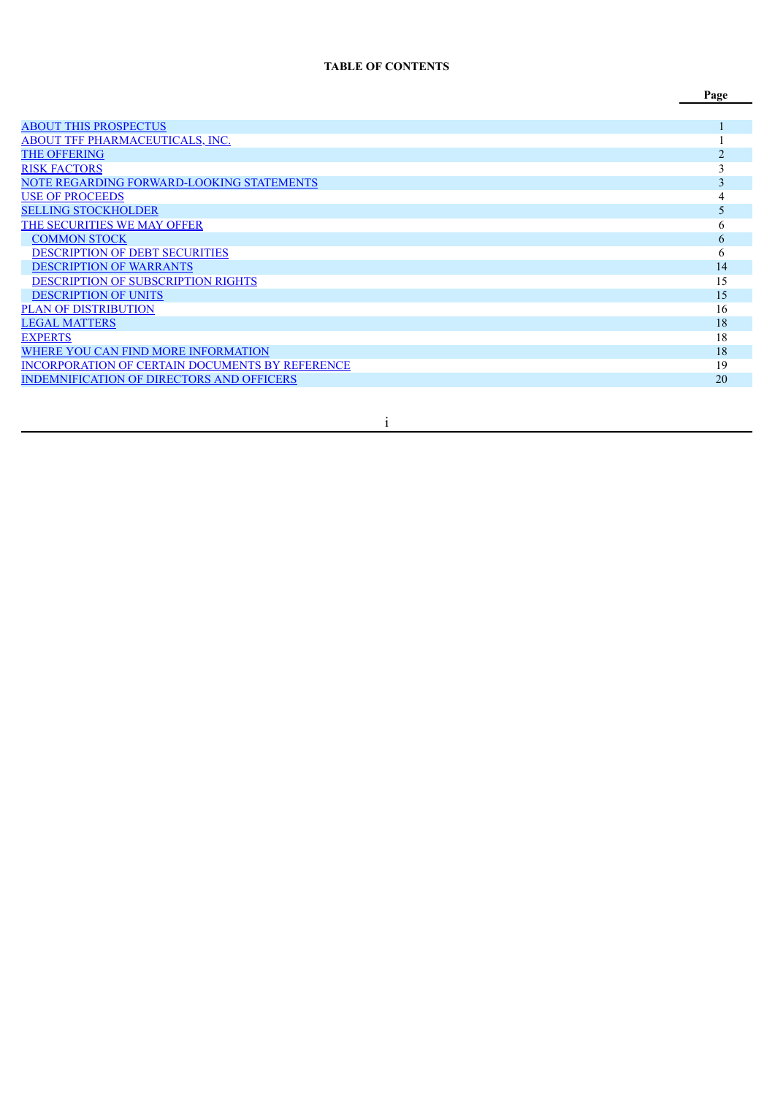## **TABLE OF CONTENTS**

|                                                  | Page           |
|--------------------------------------------------|----------------|
|                                                  |                |
| <b>ABOUT THIS PROSPECTUS</b>                     |                |
| ABOUT TFF PHARMACEUTICALS, INC.                  |                |
| <b>THE OFFERING</b>                              | $\mathfrak{D}$ |
| <b>RISK FACTORS</b>                              |                |
| NOTE REGARDING FORWARD-LOOKING STATEMENTS        | 3              |
| <b>USE OF PROCEEDS</b>                           |                |
| <b>SELLING STOCKHOLDER</b>                       | 5              |
| THE SECURITIES WE MAY OFFER                      | 6              |
| <b>COMMON STOCK</b>                              | 6              |
| <b>DESCRIPTION OF DEBT SECURITIES</b>            | 6              |
| <b>DESCRIPTION OF WARRANTS</b>                   | 14             |
| DESCRIPTION OF SUBSCRIPTION RIGHTS               | 15             |
| <b>DESCRIPTION OF UNITS</b>                      | 15             |
| <b>PLAN OF DISTRIBUTION</b>                      | 16             |
| <b>LEGAL MATTERS</b>                             | 18             |
| <b>EXPERTS</b>                                   | 18             |
| WHERE YOU CAN FIND MORE INFORMATION              | 18             |
| INCORPORATION OF CERTAIN DOCUMENTS BY REFERENCE  | 19             |
| <b>INDEMNIFICATION OF DIRECTORS AND OFFICERS</b> | 20             |

i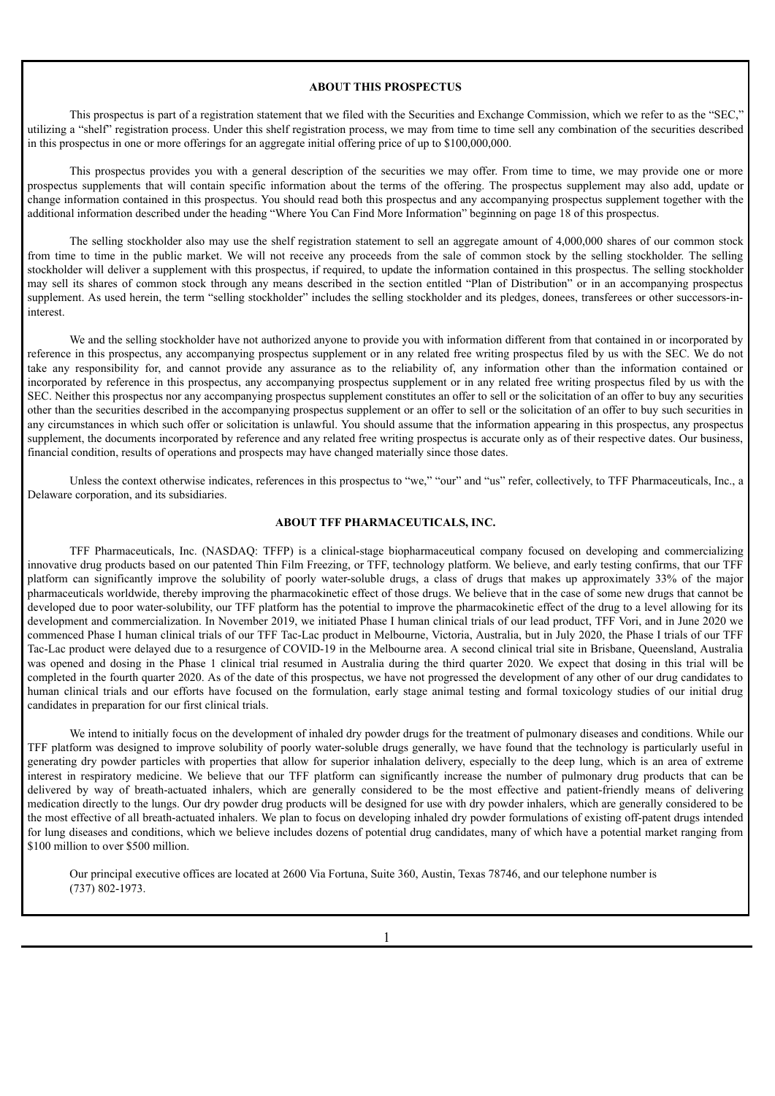#### **ABOUT THIS PROSPECTUS**

<span id="page-15-0"></span>This prospectus is part of a registration statement that we filed with the Securities and Exchange Commission, which we refer to as the "SEC," utilizing a "shelf" registration process. Under this shelf registration process, we may from time to time sell any combination of the securities described in this prospectus in one or more offerings for an aggregate initial offering price of up to \$100,000,000.

This prospectus provides you with a general description of the securities we may offer. From time to time, we may provide one or more prospectus supplements that will contain specific information about the terms of the offering. The prospectus supplement may also add, update or change information contained in this prospectus. You should read both this prospectus and any accompanying prospectus supplement together with the additional information described under the heading "Where You Can Find More Information" beginning on page 18 of this prospectus.

The selling stockholder also may use the shelf registration statement to sell an aggregate amount of 4,000,000 shares of our common stock from time to time in the public market. We will not receive any proceeds from the sale of common stock by the selling stockholder. The selling stockholder will deliver a supplement with this prospectus, if required, to update the information contained in this prospectus. The selling stockholder may sell its shares of common stock through any means described in the section entitled "Plan of Distribution" or in an accompanying prospectus supplement. As used herein, the term "selling stockholder" includes the selling stockholder and its pledges, donees, transferees or other successors-ininterest.

We and the selling stockholder have not authorized anyone to provide you with information different from that contained in or incorporated by reference in this prospectus, any accompanying prospectus supplement or in any related free writing prospectus filed by us with the SEC. We do not take any responsibility for, and cannot provide any assurance as to the reliability of, any information other than the information contained or incorporated by reference in this prospectus, any accompanying prospectus supplement or in any related free writing prospectus filed by us with the SEC. Neither this prospectus nor any accompanying prospectus supplement constitutes an offer to sell or the solicitation of an offer to buy any securities other than the securities described in the accompanying prospectus supplement or an offer to sell or the solicitation of an offer to buy such securities in any circumstances in which such offer or solicitation is unlawful. You should assume that the information appearing in this prospectus, any prospectus supplement, the documents incorporated by reference and any related free writing prospectus is accurate only as of their respective dates. Our business, financial condition, results of operations and prospects may have changed materially since those dates.

Unless the context otherwise indicates, references in this prospectus to "we," "our" and "us" refer, collectively, to TFF Pharmaceuticals, Inc., a Delaware corporation, and its subsidiaries.

## **ABOUT TFF PHARMACEUTICALS, INC.**

<span id="page-15-1"></span>TFF Pharmaceuticals, Inc. (NASDAQ: TFFP) is a clinical-stage biopharmaceutical company focused on developing and commercializing innovative drug products based on our patented Thin Film Freezing, or TFF, technology platform. We believe, and early testing confirms, that our TFF platform can significantly improve the solubility of poorly water-soluble drugs, a class of drugs that makes up approximately 33% of the major pharmaceuticals worldwide, thereby improving the pharmacokinetic effect of those drugs. We believe that in the case of some new drugs that cannot be developed due to poor water-solubility, our TFF platform has the potential to improve the pharmacokinetic effect of the drug to a level allowing for its development and commercialization. In November 2019, we initiated Phase I human clinical trials of our lead product, TFF Vori, and in June 2020 we commenced Phase I human clinical trials of our TFF Tac-Lac product in Melbourne, Victoria, Australia, but in July 2020, the Phase I trials of our TFF Tac-Lac product were delayed due to a resurgence of COVID-19 in the Melbourne area. A second clinical trial site in Brisbane, Queensland, Australia was opened and dosing in the Phase 1 clinical trial resumed in Australia during the third quarter 2020. We expect that dosing in this trial will be completed in the fourth quarter 2020. As of the date of this prospectus, we have not progressed the development of any other of our drug candidates to human clinical trials and our efforts have focused on the formulation, early stage animal testing and formal toxicology studies of our initial drug candidates in preparation for our first clinical trials.

We intend to initially focus on the development of inhaled dry powder drugs for the treatment of pulmonary diseases and conditions. While our TFF platform was designed to improve solubility of poorly water-soluble drugs generally, we have found that the technology is particularly useful in generating dry powder particles with properties that allow for superior inhalation delivery, especially to the deep lung, which is an area of extreme interest in respiratory medicine. We believe that our TFF platform can significantly increase the number of pulmonary drug products that can be delivered by way of breath-actuated inhalers, which are generally considered to be the most effective and patient-friendly means of delivering medication directly to the lungs. Our dry powder drug products will be designed for use with dry powder inhalers, which are generally considered to be the most effective of all breath-actuated inhalers. We plan to focus on developing inhaled dry powder formulations of existing off-patent drugs intended for lung diseases and conditions, which we believe includes dozens of potential drug candidates, many of which have a potential market ranging from \$100 million to over \$500 million.

Our principal executive offices are located at 2600 Via Fortuna, Suite 360, Austin, Texas 78746, and our telephone number is (737) 802-1973.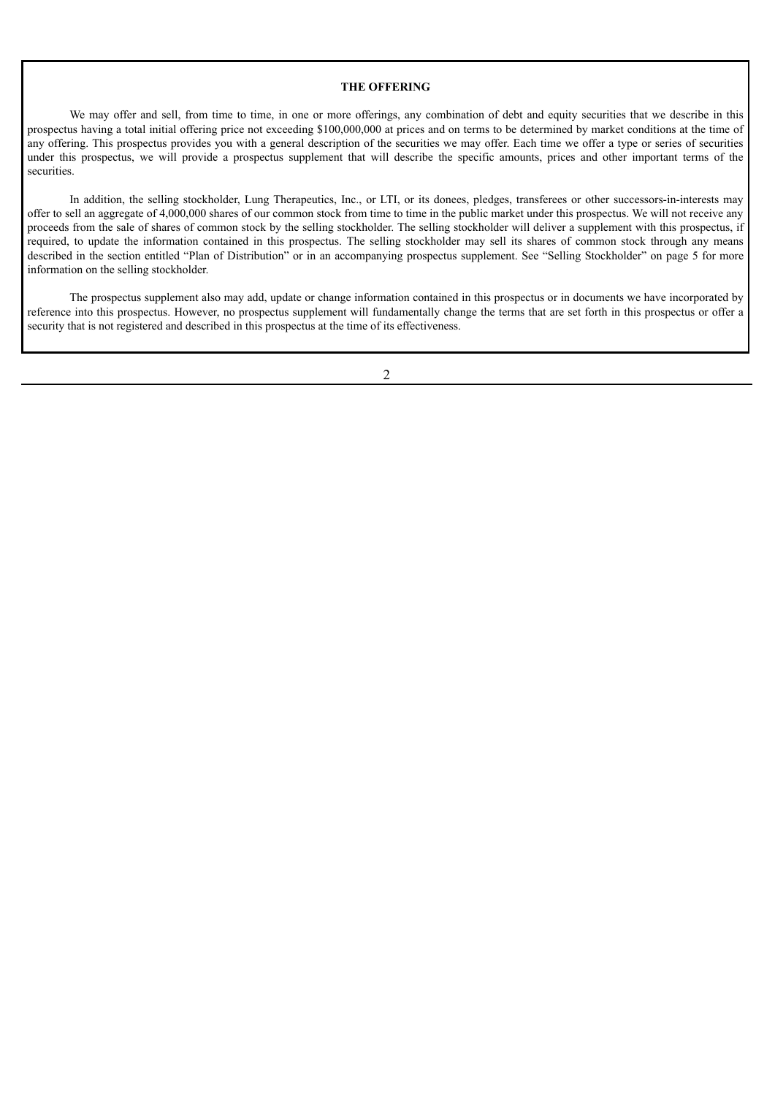#### **THE OFFERING**

<span id="page-16-0"></span>We may offer and sell, from time to time, in one or more offerings, any combination of debt and equity securities that we describe in this prospectus having a total initial offering price not exceeding \$100,000,000 at prices and on terms to be determined by market conditions at the time of any offering. This prospectus provides you with a general description of the securities we may offer. Each time we offer a type or series of securities under this prospectus, we will provide a prospectus supplement that will describe the specific amounts, prices and other important terms of the securities.

In addition, the selling stockholder, Lung Therapeutics, Inc., or LTI, or its donees, pledges, transferees or other successors-in-interests may offer to sell an aggregate of 4,000,000 shares of our common stock from time to time in the public market under this prospectus. We will not receive any proceeds from the sale of shares of common stock by the selling stockholder. The selling stockholder will deliver a supplement with this prospectus, if required, to update the information contained in this prospectus. The selling stockholder may sell its shares of common stock through any means described in the section entitled "Plan of Distribution" or in an accompanying prospectus supplement. See "Selling Stockholder" on page 5 for more information on the selling stockholder.

The prospectus supplement also may add, update or change information contained in this prospectus or in documents we have incorporated by reference into this prospectus. However, no prospectus supplement will fundamentally change the terms that are set forth in this prospectus or offer a security that is not registered and described in this prospectus at the time of its effectiveness.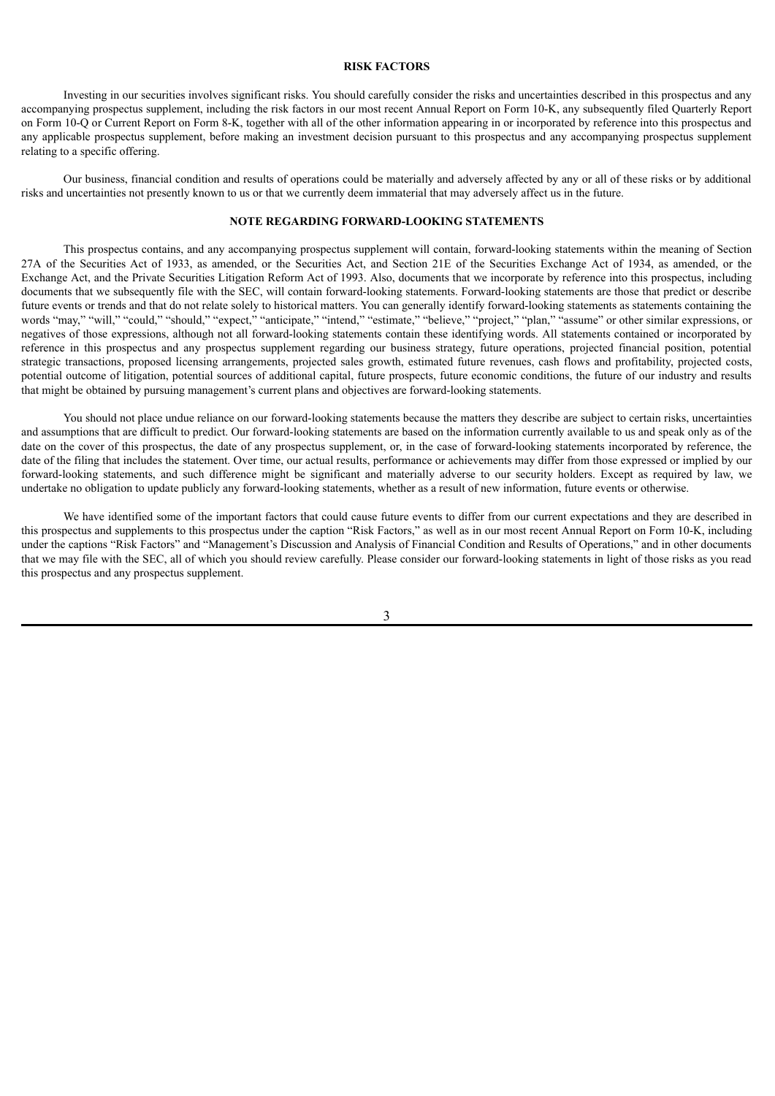### **RISK FACTORS**

<span id="page-17-0"></span>Investing in our securities involves significant risks. You should carefully consider the risks and uncertainties described in this prospectus and any accompanying prospectus supplement, including the risk factors in our most recent Annual Report on Form 10-K, any subsequently filed Quarterly Report on Form 10-Q or Current Report on Form 8-K, together with all of the other information appearing in or incorporated by reference into this prospectus and any applicable prospectus supplement, before making an investment decision pursuant to this prospectus and any accompanying prospectus supplement relating to a specific offering.

Our business, financial condition and results of operations could be materially and adversely affected by any or all of these risks or by additional risks and uncertainties not presently known to us or that we currently deem immaterial that may adversely affect us in the future.

## **NOTE REGARDING FORWARD-LOOKING STATEMENTS**

<span id="page-17-1"></span>This prospectus contains, and any accompanying prospectus supplement will contain, forward-looking statements within the meaning of Section 27A of the Securities Act of 1933, as amended, or the Securities Act, and Section 21E of the Securities Exchange Act of 1934, as amended, or the Exchange Act, and the Private Securities Litigation Reform Act of 1993. Also, documents that we incorporate by reference into this prospectus, including documents that we subsequently file with the SEC, will contain forward-looking statements. Forward-looking statements are those that predict or describe future events or trends and that do not relate solely to historical matters. You can generally identify forward-looking statements as statements containing the words "may," "will," "could," "should," "expect," "anticipate," "intend," "estimate," "believe," "project," "plan," "assume" or other similar expressions, or negatives of those expressions, although not all forward-looking statements contain these identifying words. All statements contained or incorporated by reference in this prospectus and any prospectus supplement regarding our business strategy, future operations, projected financial position, potential strategic transactions, proposed licensing arrangements, projected sales growth, estimated future revenues, cash flows and profitability, projected costs, potential outcome of litigation, potential sources of additional capital, future prospects, future economic conditions, the future of our industry and results that might be obtained by pursuing management's current plans and objectives are forward-looking statements.

You should not place undue reliance on our forward-looking statements because the matters they describe are subject to certain risks, uncertainties and assumptions that are difficult to predict. Our forward-looking statements are based on the information currently available to us and speak only as of the date on the cover of this prospectus, the date of any prospectus supplement, or, in the case of forward-looking statements incorporated by reference, the date of the filing that includes the statement. Over time, our actual results, performance or achievements may differ from those expressed or implied by our forward-looking statements, and such difference might be significant and materially adverse to our security holders. Except as required by law, we undertake no obligation to update publicly any forward-looking statements, whether as a result of new information, future events or otherwise.

We have identified some of the important factors that could cause future events to differ from our current expectations and they are described in this prospectus and supplements to this prospectus under the caption "Risk Factors," as well as in our most recent Annual Report on Form 10-K, including under the captions "Risk Factors" and "Management's Discussion and Analysis of Financial Condition and Results of Operations," and in other documents that we may file with the SEC, all of which you should review carefully. Please consider our forward-looking statements in light of those risks as you read this prospectus and any prospectus supplement.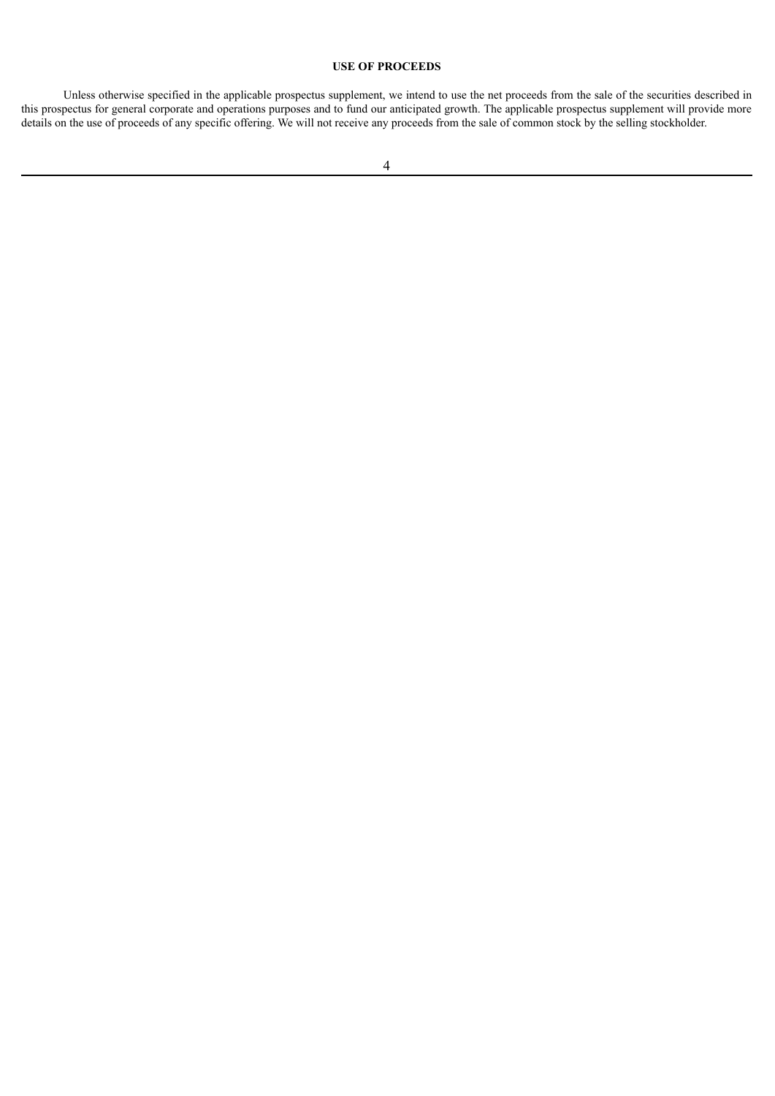## **USE OF PROCEEDS**

<span id="page-18-0"></span>Unless otherwise specified in the applicable prospectus supplement, we intend to use the net proceeds from the sale of the securities described in this prospectus for general corporate and operations purposes and to fund our anticipated growth. The applicable prospectus supplement will provide more details on the use of proceeds of any specific offering. We will not receive any proceeds from the sale of common stock by the selling stockholder.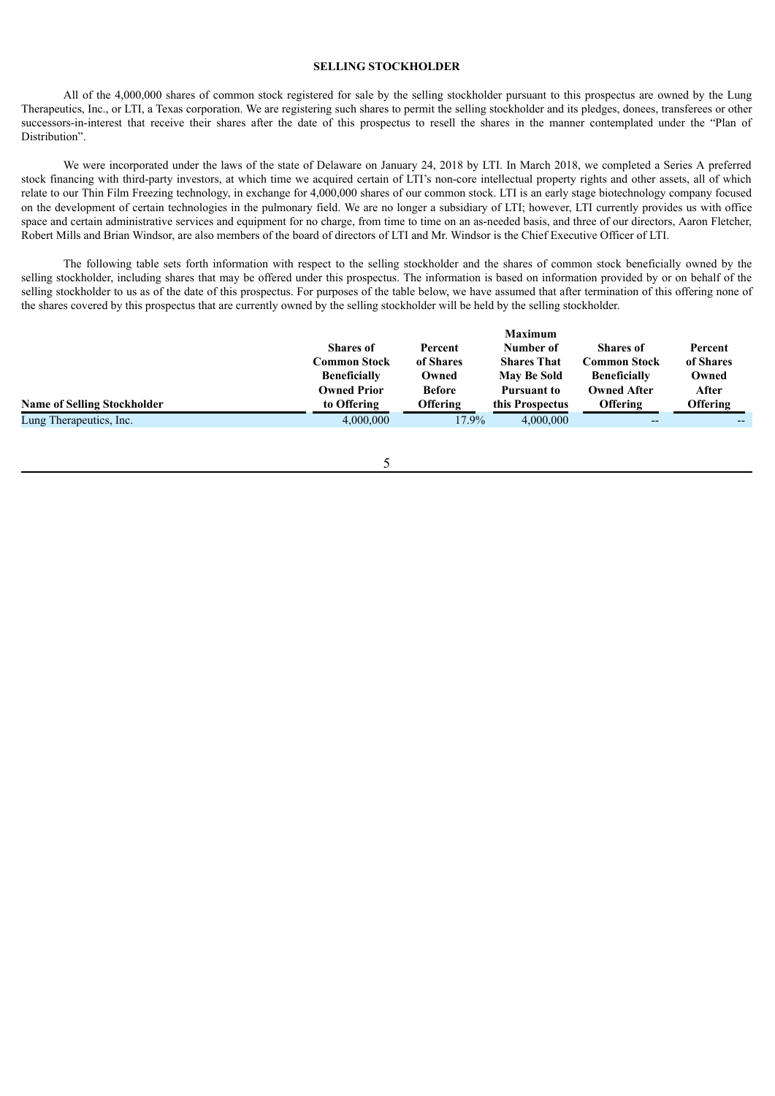## **SELLING STOCKHOLDER**

<span id="page-19-0"></span>All of the 4,000,000 shares of common stock registered for sale by the selling stockholder pursuant to this prospectus are owned by the Lung Therapeutics, Inc., or LTI, a Texas corporation. We are registering such shares to permit the selling stockholder and its pledges, donees, transferees or other successors-in-interest that receive their shares after the date of this prospectus to resell the shares in the manner contemplated under the "Plan of Distribution".

We were incorporated under the laws of the state of Delaware on January 24, 2018 by LTI. In March 2018, we completed a Series A preferred stock financing with third-party investors, at which time we acquired certain of LTI's non-core intellectual property rights and other assets, all of which relate to our Thin Film Freezing technology, in exchange for 4,000,000 shares of our common stock. LTI is an early stage biotechnology company focused on the development of certain technologies in the pulmonary field. We are no longer a subsidiary of LTI; however, LTI currently provides us with office space and certain administrative services and equipment for no charge, from time to time on an as-needed basis, and three of our directors, Aaron Fletcher, Robert Mills and Brian Windsor, are also members of the board of directors of LTI and Mr. Windsor is the Chief Executive Officer of LTI.

The following table sets forth information with respect to the selling stockholder and the shares of common stock beneficially owned by the selling stockholder, including shares that may be offered under this prospectus. The information is based on information provided by or on behalf of the selling stockholder to us as of the date of this prospectus. For purposes of the table below, we have assumed that after termination of this offering none of the shares covered by this prospectus that are currently owned by the selling stockholder will be held by the selling stockholder.

|                                    |                     |               | <b>Maximum</b>     |                     |           |
|------------------------------------|---------------------|---------------|--------------------|---------------------|-----------|
|                                    | <b>Shares of</b>    | Percent       | Number of          | <b>Shares of</b>    | Percent   |
|                                    | Common Stock        | of Shares     | <b>Shares That</b> | Common Stock        | of Shares |
|                                    | <b>Beneficially</b> | Owned         | <b>May Be Sold</b> | <b>Beneficially</b> | Owned     |
|                                    | <b>Owned Prior</b>  | <b>Before</b> | <b>Pursuant to</b> | <b>Owned After</b>  | After     |
| <b>Name of Selling Stockholder</b> | to Offering         | Offering      | this Prospectus    | <b>Offering</b>     | Offering  |
| Lung Therapeutics, Inc.            | 4,000,000           | 17.9%         | 4,000,000          | $- -$               |           |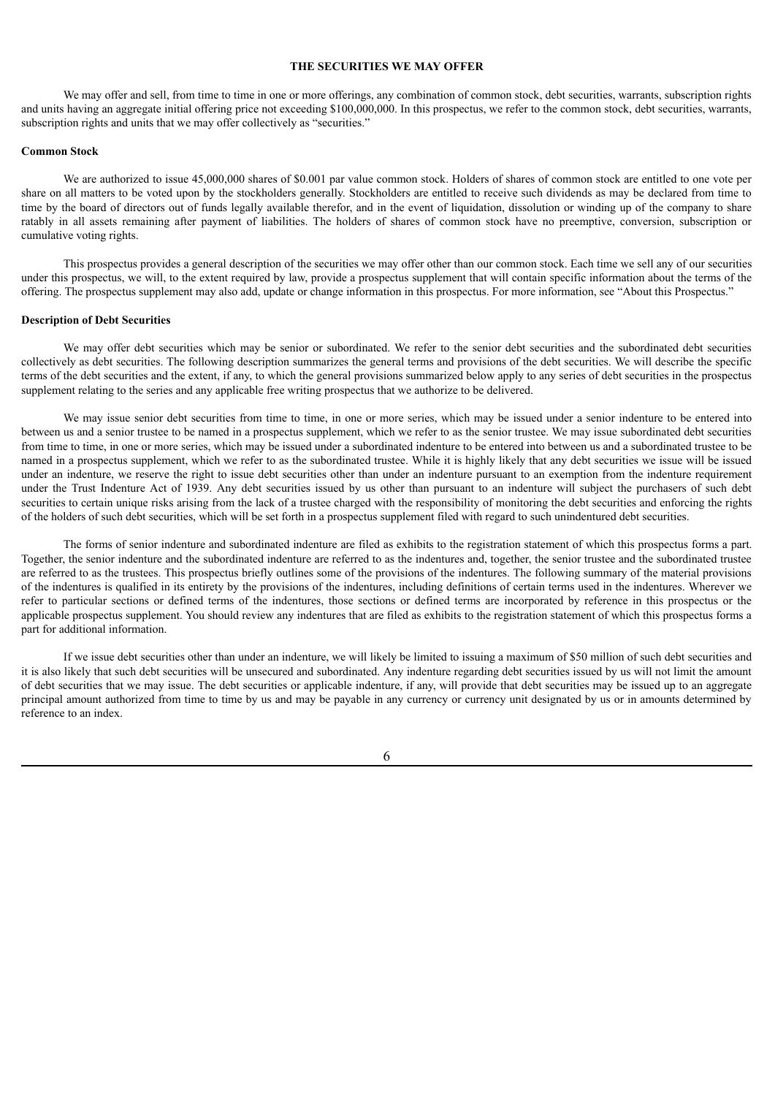#### **THE SECURITIES WE MAY OFFER**

<span id="page-20-0"></span>We may offer and sell, from time to time in one or more offerings, any combination of common stock, debt securities, warrants, subscription rights and units having an aggregate initial offering price not exceeding \$100,000,000. In this prospectus, we refer to the common stock, debt securities, warrants, subscription rights and units that we may offer collectively as "securities."

#### <span id="page-20-1"></span>**Common Stock**

We are authorized to issue 45,000,000 shares of \$0.001 par value common stock. Holders of shares of common stock are entitled to one vote per share on all matters to be voted upon by the stockholders generally. Stockholders are entitled to receive such dividends as may be declared from time to time by the board of directors out of funds legally available therefor, and in the event of liquidation, dissolution or winding up of the company to share ratably in all assets remaining after payment of liabilities. The holders of shares of common stock have no preemptive, conversion, subscription or cumulative voting rights.

This prospectus provides a general description of the securities we may offer other than our common stock. Each time we sell any of our securities under this prospectus, we will, to the extent required by law, provide a prospectus supplement that will contain specific information about the terms of the offering. The prospectus supplement may also add, update or change information in this prospectus. For more information, see "About this Prospectus."

#### <span id="page-20-2"></span>**Description of Debt Securities**

We may offer debt securities which may be senior or subordinated. We refer to the senior debt securities and the subordinated debt securities collectively as debt securities. The following description summarizes the general terms and provisions of the debt securities. We will describe the specific terms of the debt securities and the extent, if any, to which the general provisions summarized below apply to any series of debt securities in the prospectus supplement relating to the series and any applicable free writing prospectus that we authorize to be delivered.

We may issue senior debt securities from time to time, in one or more series, which may be issued under a senior indenture to be entered into between us and a senior trustee to be named in a prospectus supplement, which we refer to as the senior trustee. We may issue subordinated debt securities from time to time, in one or more series, which may be issued under a subordinated indenture to be entered into between us and a subordinated trustee to be named in a prospectus supplement, which we refer to as the subordinated trustee. While it is highly likely that any debt securities we issue will be issued under an indenture, we reserve the right to issue debt securities other than under an indenture pursuant to an exemption from the indenture requirement under the Trust Indenture Act of 1939. Any debt securities issued by us other than pursuant to an indenture will subject the purchasers of such debt securities to certain unique risks arising from the lack of a trustee charged with the responsibility of monitoring the debt securities and enforcing the rights of the holders of such debt securities, which will be set forth in a prospectus supplement filed with regard to such unindentured debt securities.

The forms of senior indenture and subordinated indenture are filed as exhibits to the registration statement of which this prospectus forms a part. Together, the senior indenture and the subordinated indenture are referred to as the indentures and, together, the senior trustee and the subordinated trustee are referred to as the trustees. This prospectus briefly outlines some of the provisions of the indentures. The following summary of the material provisions of the indentures is qualified in its entirety by the provisions of the indentures, including definitions of certain terms used in the indentures. Wherever we refer to particular sections or defined terms of the indentures, those sections or defined terms are incorporated by reference in this prospectus or the applicable prospectus supplement. You should review any indentures that are filed as exhibits to the registration statement of which this prospectus forms a part for additional information.

If we issue debt securities other than under an indenture, we will likely be limited to issuing a maximum of \$50 million of such debt securities and it is also likely that such debt securities will be unsecured and subordinated. Any indenture regarding debt securities issued by us will not limit the amount of debt securities that we may issue. The debt securities or applicable indenture, if any, will provide that debt securities may be issued up to an aggregate principal amount authorized from time to time by us and may be payable in any currency or currency unit designated by us or in amounts determined by reference to an index.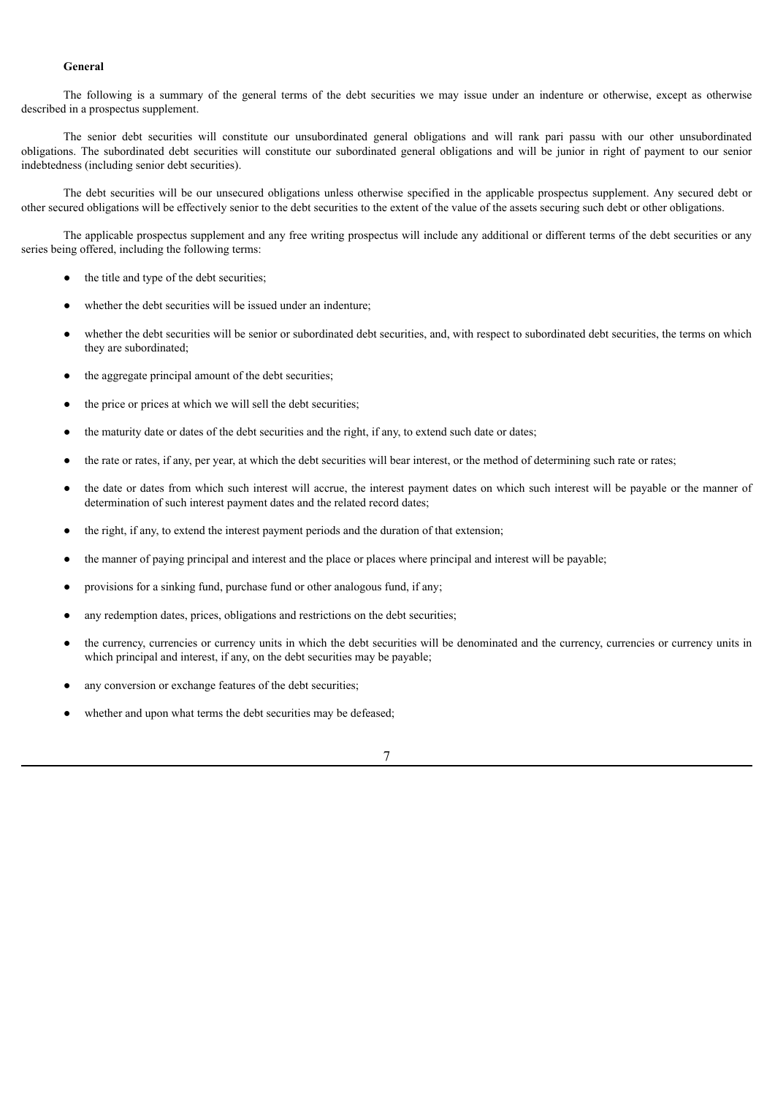## **General**

The following is a summary of the general terms of the debt securities we may issue under an indenture or otherwise, except as otherwise described in a prospectus supplement.

The senior debt securities will constitute our unsubordinated general obligations and will rank pari passu with our other unsubordinated obligations. The subordinated debt securities will constitute our subordinated general obligations and will be junior in right of payment to our senior indebtedness (including senior debt securities).

The debt securities will be our unsecured obligations unless otherwise specified in the applicable prospectus supplement. Any secured debt or other secured obligations will be effectively senior to the debt securities to the extent of the value of the assets securing such debt or other obligations.

The applicable prospectus supplement and any free writing prospectus will include any additional or different terms of the debt securities or any series being offered, including the following terms:

- the title and type of the debt securities;
- whether the debt securities will be issued under an indenture;
- whether the debt securities will be senior or subordinated debt securities, and, with respect to subordinated debt securities, the terms on which they are subordinated;
- the aggregate principal amount of the debt securities;
- the price or prices at which we will sell the debt securities;
- the maturity date or dates of the debt securities and the right, if any, to extend such date or dates;
- the rate or rates, if any, per year, at which the debt securities will bear interest, or the method of determining such rate or rates;
- the date or dates from which such interest will accrue, the interest payment dates on which such interest will be payable or the manner of determination of such interest payment dates and the related record dates;
- the right, if any, to extend the interest payment periods and the duration of that extension;
- the manner of paying principal and interest and the place or places where principal and interest will be payable;
- provisions for a sinking fund, purchase fund or other analogous fund, if any;
- any redemption dates, prices, obligations and restrictions on the debt securities;
- the currency, currencies or currency units in which the debt securities will be denominated and the currency, currencies or currency units in which principal and interest, if any, on the debt securities may be payable;
- any conversion or exchange features of the debt securities;
- whether and upon what terms the debt securities may be defeased;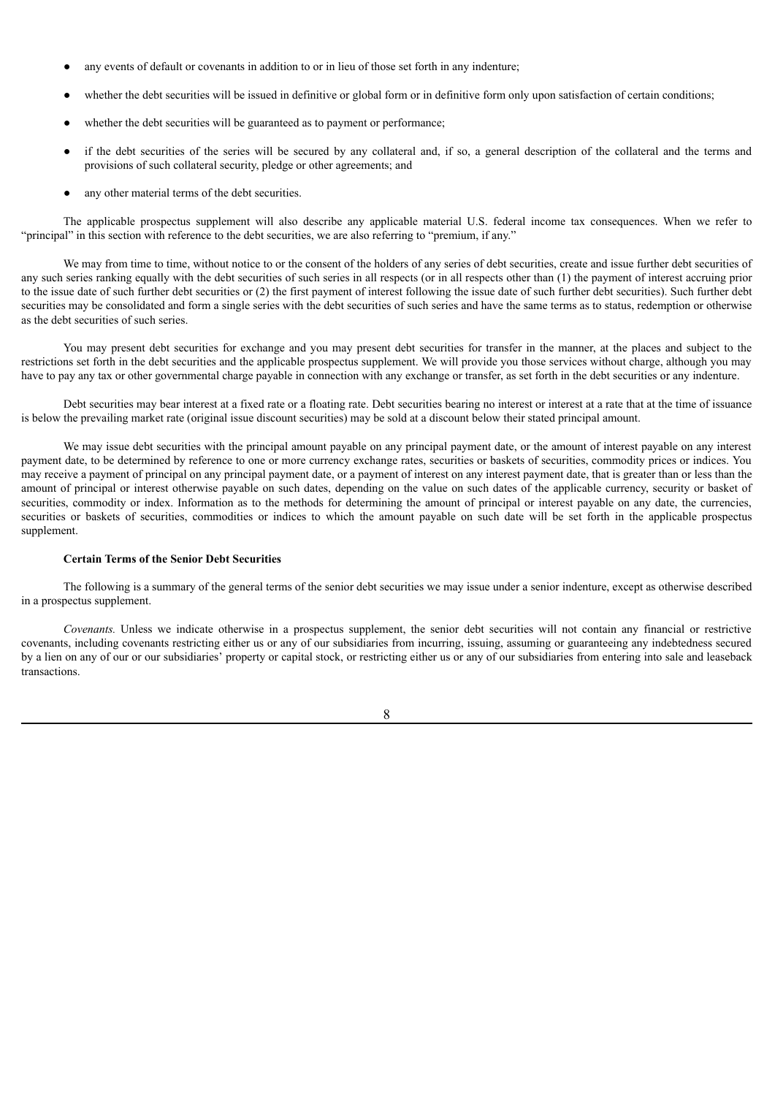- any events of default or covenants in addition to or in lieu of those set forth in any indenture;
- whether the debt securities will be issued in definitive or global form or in definitive form only upon satisfaction of certain conditions;
- whether the debt securities will be guaranteed as to payment or performance;
- if the debt securities of the series will be secured by any collateral and, if so, a general description of the collateral and the terms and provisions of such collateral security, pledge or other agreements; and
- any other material terms of the debt securities.

The applicable prospectus supplement will also describe any applicable material U.S. federal income tax consequences. When we refer to "principal" in this section with reference to the debt securities, we are also referring to "premium, if any."

We may from time to time, without notice to or the consent of the holders of any series of debt securities, create and issue further debt securities of any such series ranking equally with the debt securities of such series in all respects (or in all respects other than (1) the payment of interest accruing prior to the issue date of such further debt securities or (2) the first payment of interest following the issue date of such further debt securities). Such further debt securities may be consolidated and form a single series with the debt securities of such series and have the same terms as to status, redemption or otherwise as the debt securities of such series.

You may present debt securities for exchange and you may present debt securities for transfer in the manner, at the places and subject to the restrictions set forth in the debt securities and the applicable prospectus supplement. We will provide you those services without charge, although you may have to pay any tax or other governmental charge payable in connection with any exchange or transfer, as set forth in the debt securities or any indenture.

Debt securities may bear interest at a fixed rate or a floating rate. Debt securities bearing no interest or interest at a rate that at the time of issuance is below the prevailing market rate (original issue discount securities) may be sold at a discount below their stated principal amount.

We may issue debt securities with the principal amount payable on any principal payment date, or the amount of interest payable on any interest payment date, to be determined by reference to one or more currency exchange rates, securities or baskets of securities, commodity prices or indices. You may receive a payment of principal on any principal payment date, or a payment of interest on any interest payment date, that is greater than or less than the amount of principal or interest otherwise payable on such dates, depending on the value on such dates of the applicable currency, security or basket of securities, commodity or index. Information as to the methods for determining the amount of principal or interest payable on any date, the currencies, securities or baskets of securities, commodities or indices to which the amount payable on such date will be set forth in the applicable prospectus supplement.

#### **Certain Terms of the Senior Debt Securities**

The following is a summary of the general terms of the senior debt securities we may issue under a senior indenture, except as otherwise described in a prospectus supplement.

*Covenants.* Unless we indicate otherwise in a prospectus supplement, the senior debt securities will not contain any financial or restrictive covenants, including covenants restricting either us or any of our subsidiaries from incurring, issuing, assuming or guaranteeing any indebtedness secured by a lien on any of our or our subsidiaries' property or capital stock, or restricting either us or any of our subsidiaries from entering into sale and leaseback transactions.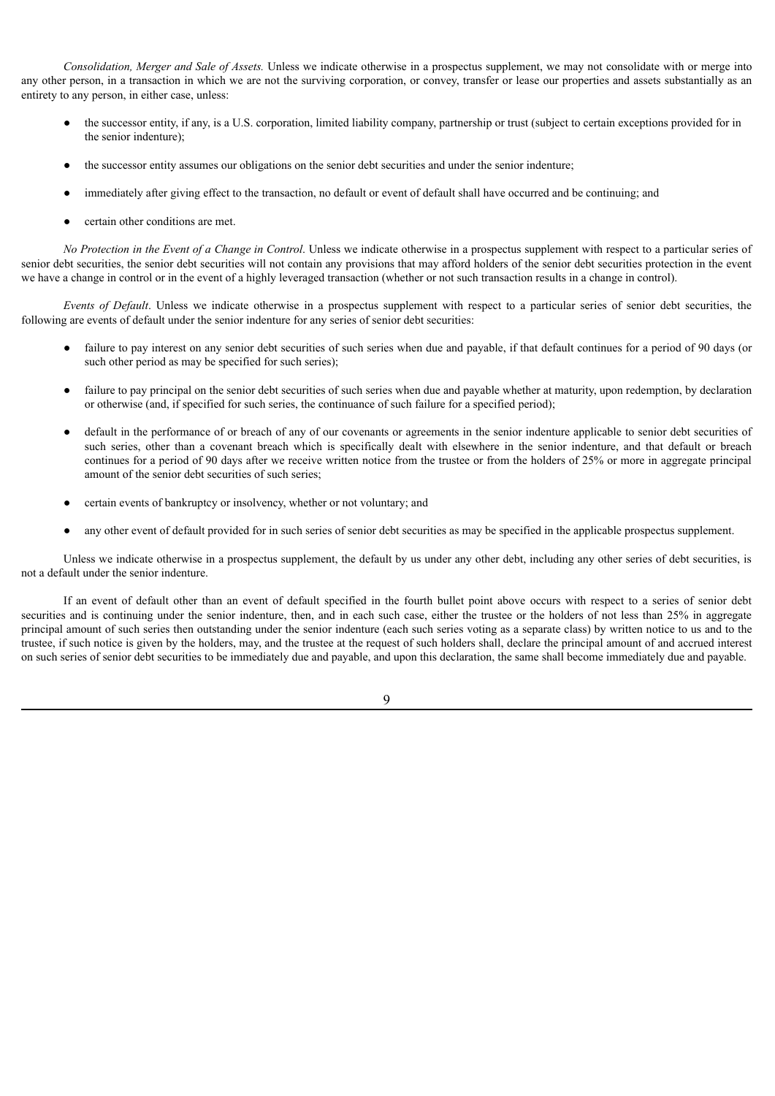*Consolidation, Merger and Sale of Assets.* Unless we indicate otherwise in a prospectus supplement, we may not consolidate with or merge into any other person, in a transaction in which we are not the surviving corporation, or convey, transfer or lease our properties and assets substantially as an entirety to any person, in either case, unless:

- the successor entity, if any, is a U.S. corporation, limited liability company, partnership or trust (subject to certain exceptions provided for in the senior indenture);
- the successor entity assumes our obligations on the senior debt securities and under the senior indenture;
- immediately after giving effect to the transaction, no default or event of default shall have occurred and be continuing; and
- certain other conditions are met.

*No Protection in the Event of a Change in Control*. Unless we indicate otherwise in a prospectus supplement with respect to a particular series of senior debt securities, the senior debt securities will not contain any provisions that may afford holders of the senior debt securities protection in the event we have a change in control or in the event of a highly leveraged transaction (whether or not such transaction results in a change in control).

*Events of Default*. Unless we indicate otherwise in a prospectus supplement with respect to a particular series of senior debt securities, the following are events of default under the senior indenture for any series of senior debt securities:

- failure to pay interest on any senior debt securities of such series when due and payable, if that default continues for a period of 90 days (or such other period as may be specified for such series);
- failure to pay principal on the senior debt securities of such series when due and payable whether at maturity, upon redemption, by declaration or otherwise (and, if specified for such series, the continuance of such failure for a specified period);
- default in the performance of or breach of any of our covenants or agreements in the senior indenture applicable to senior debt securities of such series, other than a covenant breach which is specifically dealt with elsewhere in the senior indenture, and that default or breach continues for a period of 90 days after we receive written notice from the trustee or from the holders of 25% or more in aggregate principal amount of the senior debt securities of such series;
- certain events of bankruptcy or insolvency, whether or not voluntary; and
- any other event of default provided for in such series of senior debt securities as may be specified in the applicable prospectus supplement.

Unless we indicate otherwise in a prospectus supplement, the default by us under any other debt, including any other series of debt securities, is not a default under the senior indenture.

If an event of default other than an event of default specified in the fourth bullet point above occurs with respect to a series of senior debt securities and is continuing under the senior indenture, then, and in each such case, either the trustee or the holders of not less than 25% in aggregate principal amount of such series then outstanding under the senior indenture (each such series voting as a separate class) by written notice to us and to the trustee, if such notice is given by the holders, may, and the trustee at the request of such holders shall, declare the principal amount of and accrued interest on such series of senior debt securities to be immediately due and payable, and upon this declaration, the same shall become immediately due and payable.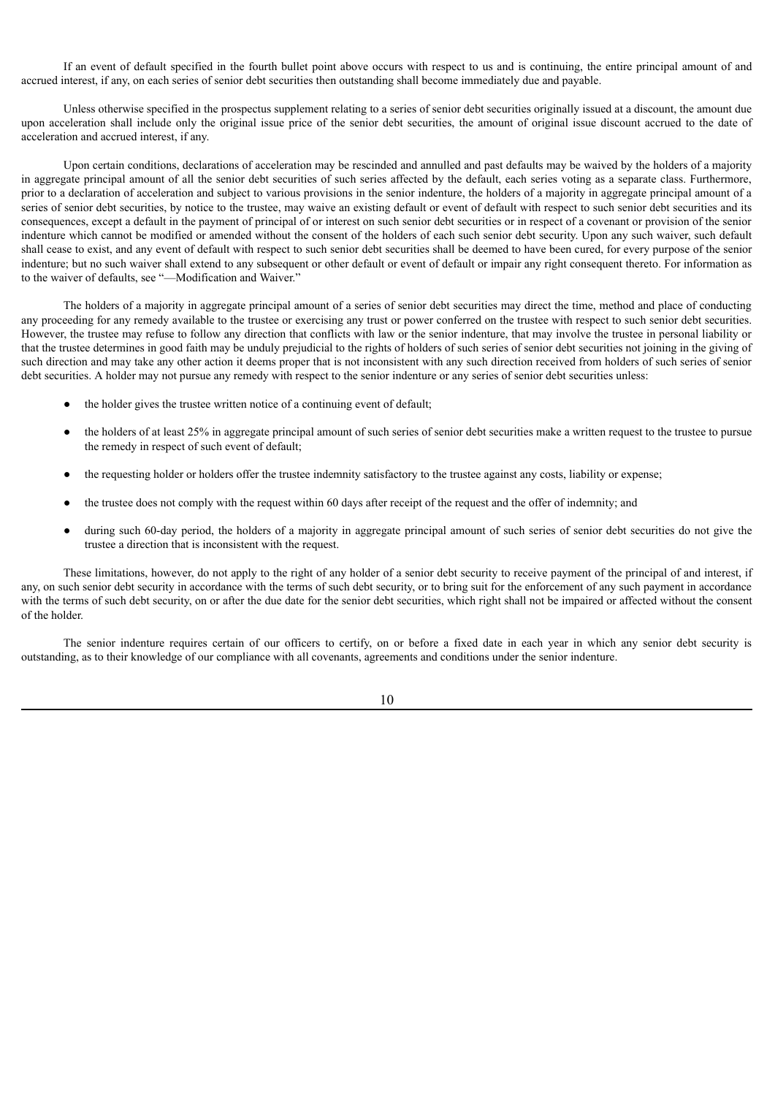If an event of default specified in the fourth bullet point above occurs with respect to us and is continuing, the entire principal amount of and accrued interest, if any, on each series of senior debt securities then outstanding shall become immediately due and payable.

Unless otherwise specified in the prospectus supplement relating to a series of senior debt securities originally issued at a discount, the amount due upon acceleration shall include only the original issue price of the senior debt securities, the amount of original issue discount accrued to the date of acceleration and accrued interest, if any.

Upon certain conditions, declarations of acceleration may be rescinded and annulled and past defaults may be waived by the holders of a majority in aggregate principal amount of all the senior debt securities of such series affected by the default, each series voting as a separate class. Furthermore, prior to a declaration of acceleration and subject to various provisions in the senior indenture, the holders of a majority in aggregate principal amount of a series of senior debt securities, by notice to the trustee, may waive an existing default or event of default with respect to such senior debt securities and its consequences, except a default in the payment of principal of or interest on such senior debt securities or in respect of a covenant or provision of the senior indenture which cannot be modified or amended without the consent of the holders of each such senior debt security. Upon any such waiver, such default shall cease to exist, and any event of default with respect to such senior debt securities shall be deemed to have been cured, for every purpose of the senior indenture; but no such waiver shall extend to any subsequent or other default or event of default or impair any right consequent thereto. For information as to the waiver of defaults, see "—Modification and Waiver."

The holders of a majority in aggregate principal amount of a series of senior debt securities may direct the time, method and place of conducting any proceeding for any remedy available to the trustee or exercising any trust or power conferred on the trustee with respect to such senior debt securities. However, the trustee may refuse to follow any direction that conflicts with law or the senior indenture, that may involve the trustee in personal liability or that the trustee determines in good faith may be unduly prejudicial to the rights of holders of such series of senior debt securities not joining in the giving of such direction and may take any other action it deems proper that is not inconsistent with any such direction received from holders of such series of senior debt securities. A holder may not pursue any remedy with respect to the senior indenture or any series of senior debt securities unless:

- the holder gives the trustee written notice of a continuing event of default;
- the holders of at least 25% in aggregate principal amount of such series of senior debt securities make a written request to the trustee to pursue the remedy in respect of such event of default;
- the requesting holder or holders offer the trustee indemnity satisfactory to the trustee against any costs, liability or expense;
- the trustee does not comply with the request within 60 days after receipt of the request and the offer of indemnity; and
- during such 60-day period, the holders of a majority in aggregate principal amount of such series of senior debt securities do not give the trustee a direction that is inconsistent with the request.

These limitations, however, do not apply to the right of any holder of a senior debt security to receive payment of the principal of and interest, if any, on such senior debt security in accordance with the terms of such debt security, or to bring suit for the enforcement of any such payment in accordance with the terms of such debt security, on or after the due date for the senior debt securities, which right shall not be impaired or affected without the consent of the holder.

The senior indenture requires certain of our officers to certify, on or before a fixed date in each year in which any senior debt security is outstanding, as to their knowledge of our compliance with all covenants, agreements and conditions under the senior indenture.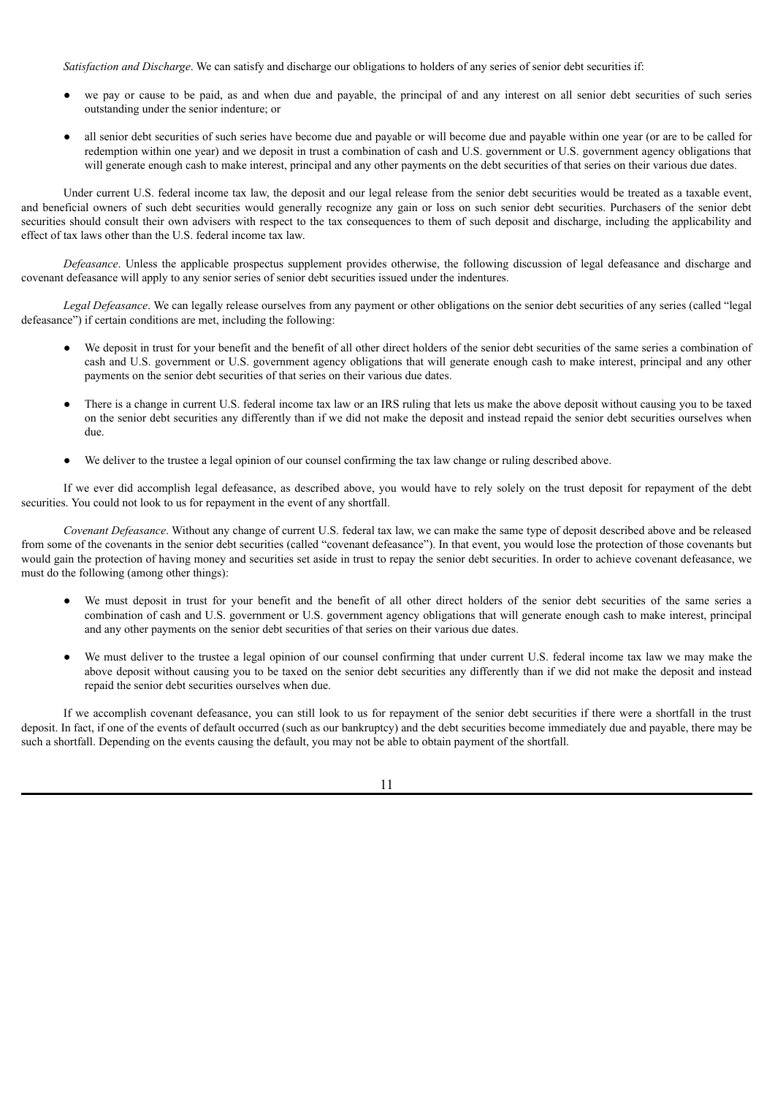*Satisfaction and Discharge*. We can satisfy and discharge our obligations to holders of any series of senior debt securities if:

- we pay or cause to be paid, as and when due and payable, the principal of and any interest on all senior debt securities of such series outstanding under the senior indenture; or
- all senior debt securities of such series have become due and payable or will become due and payable within one year (or are to be called for redemption within one year) and we deposit in trust a combination of cash and U.S. government or U.S. government agency obligations that will generate enough cash to make interest, principal and any other payments on the debt securities of that series on their various due dates.

Under current U.S. federal income tax law, the deposit and our legal release from the senior debt securities would be treated as a taxable event, and beneficial owners of such debt securities would generally recognize any gain or loss on such senior debt securities. Purchasers of the senior debt securities should consult their own advisers with respect to the tax consequences to them of such deposit and discharge, including the applicability and effect of tax laws other than the U.S. federal income tax law.

*Defeasance*. Unless the applicable prospectus supplement provides otherwise, the following discussion of legal defeasance and discharge and covenant defeasance will apply to any senior series of senior debt securities issued under the indentures.

*Legal Defeasance*. We can legally release ourselves from any payment or other obligations on the senior debt securities of any series (called "legal defeasance") if certain conditions are met, including the following:

- We deposit in trust for your benefit and the benefit of all other direct holders of the senior debt securities of the same series a combination of cash and U.S. government or U.S. government agency obligations that will generate enough cash to make interest, principal and any other payments on the senior debt securities of that series on their various due dates.
- There is a change in current U.S. federal income tax law or an IRS ruling that lets us make the above deposit without causing you to be taxed on the senior debt securities any differently than if we did not make the deposit and instead repaid the senior debt securities ourselves when due.
- We deliver to the trustee a legal opinion of our counsel confirming the tax law change or ruling described above.

If we ever did accomplish legal defeasance, as described above, you would have to rely solely on the trust deposit for repayment of the debt securities. You could not look to us for repayment in the event of any shortfall.

*Covenant Defeasance*. Without any change of current U.S. federal tax law, we can make the same type of deposit described above and be released from some of the covenants in the senior debt securities (called "covenant defeasance"). In that event, you would lose the protection of those covenants but would gain the protection of having money and securities set aside in trust to repay the senior debt securities. In order to achieve covenant defeasance, we must do the following (among other things):

- We must deposit in trust for your benefit and the benefit of all other direct holders of the senior debt securities of the same series a combination of cash and U.S. government or U.S. government agency obligations that will generate enough cash to make interest, principal and any other payments on the senior debt securities of that series on their various due dates.
- We must deliver to the trustee a legal opinion of our counsel confirming that under current U.S. federal income tax law we may make the above deposit without causing you to be taxed on the senior debt securities any differently than if we did not make the deposit and instead repaid the senior debt securities ourselves when due.

If we accomplish covenant defeasance, you can still look to us for repayment of the senior debt securities if there were a shortfall in the trust deposit. In fact, if one of the events of default occurred (such as our bankruptcy) and the debt securities become immediately due and payable, there may be such a shortfall. Depending on the events causing the default, you may not be able to obtain payment of the shortfall.

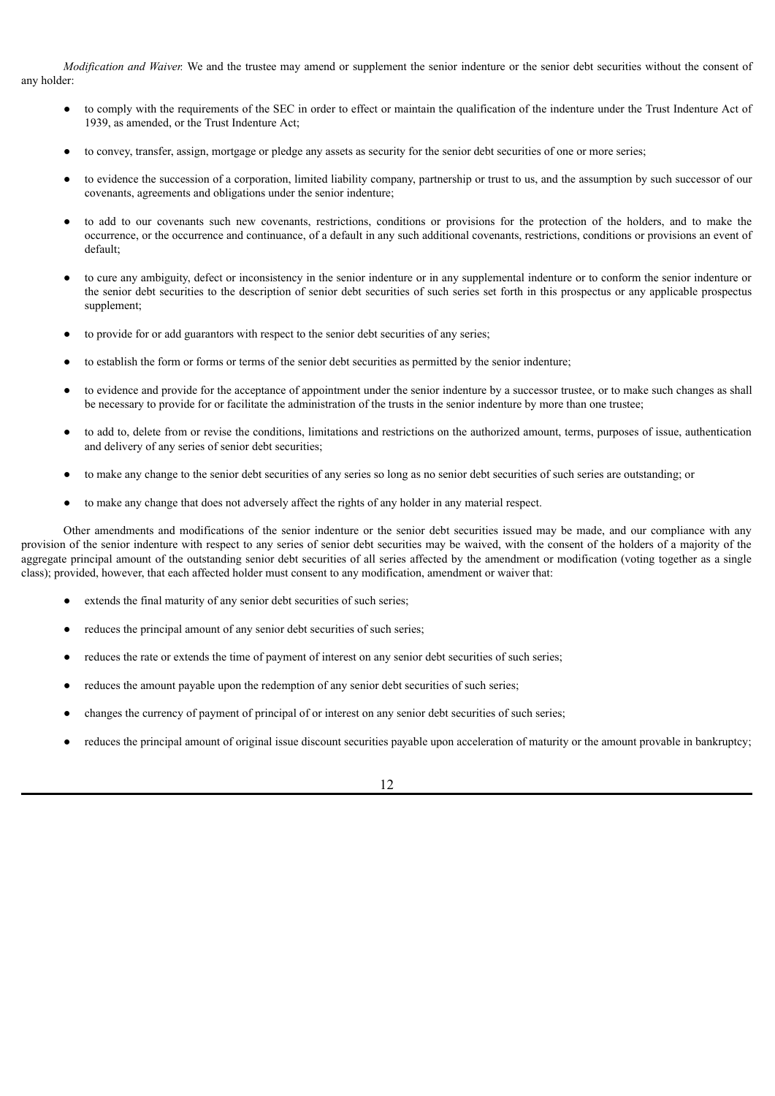*Modification and Waiver.* We and the trustee may amend or supplement the senior indenture or the senior debt securities without the consent of any holder:

- to comply with the requirements of the SEC in order to effect or maintain the qualification of the indenture under the Trust Indenture Act of 1939, as amended, or the Trust Indenture Act;
- to convey, transfer, assign, mortgage or pledge any assets as security for the senior debt securities of one or more series;
- to evidence the succession of a corporation, limited liability company, partnership or trust to us, and the assumption by such successor of our covenants, agreements and obligations under the senior indenture;
- to add to our covenants such new covenants, restrictions, conditions or provisions for the protection of the holders, and to make the occurrence, or the occurrence and continuance, of a default in any such additional covenants, restrictions, conditions or provisions an event of default;
- to cure any ambiguity, defect or inconsistency in the senior indenture or in any supplemental indenture or to conform the senior indenture or the senior debt securities to the description of senior debt securities of such series set forth in this prospectus or any applicable prospectus supplement;
- to provide for or add guarantors with respect to the senior debt securities of any series;
- to establish the form or forms or terms of the senior debt securities as permitted by the senior indenture;
- to evidence and provide for the acceptance of appointment under the senior indenture by a successor trustee, or to make such changes as shall be necessary to provide for or facilitate the administration of the trusts in the senior indenture by more than one trustee;
- to add to, delete from or revise the conditions, limitations and restrictions on the authorized amount, terms, purposes of issue, authentication and delivery of any series of senior debt securities;
- to make any change to the senior debt securities of any series so long as no senior debt securities of such series are outstanding; or
- to make any change that does not adversely affect the rights of any holder in any material respect.

Other amendments and modifications of the senior indenture or the senior debt securities issued may be made, and our compliance with any provision of the senior indenture with respect to any series of senior debt securities may be waived, with the consent of the holders of a majority of the aggregate principal amount of the outstanding senior debt securities of all series affected by the amendment or modification (voting together as a single class); provided, however, that each affected holder must consent to any modification, amendment or waiver that:

- extends the final maturity of any senior debt securities of such series;
- reduces the principal amount of any senior debt securities of such series;
- reduces the rate or extends the time of payment of interest on any senior debt securities of such series;
- reduces the amount payable upon the redemption of any senior debt securities of such series;
- changes the currency of payment of principal of or interest on any senior debt securities of such series;
- reduces the principal amount of original issue discount securities payable upon acceleration of maturity or the amount provable in bankruptcy;

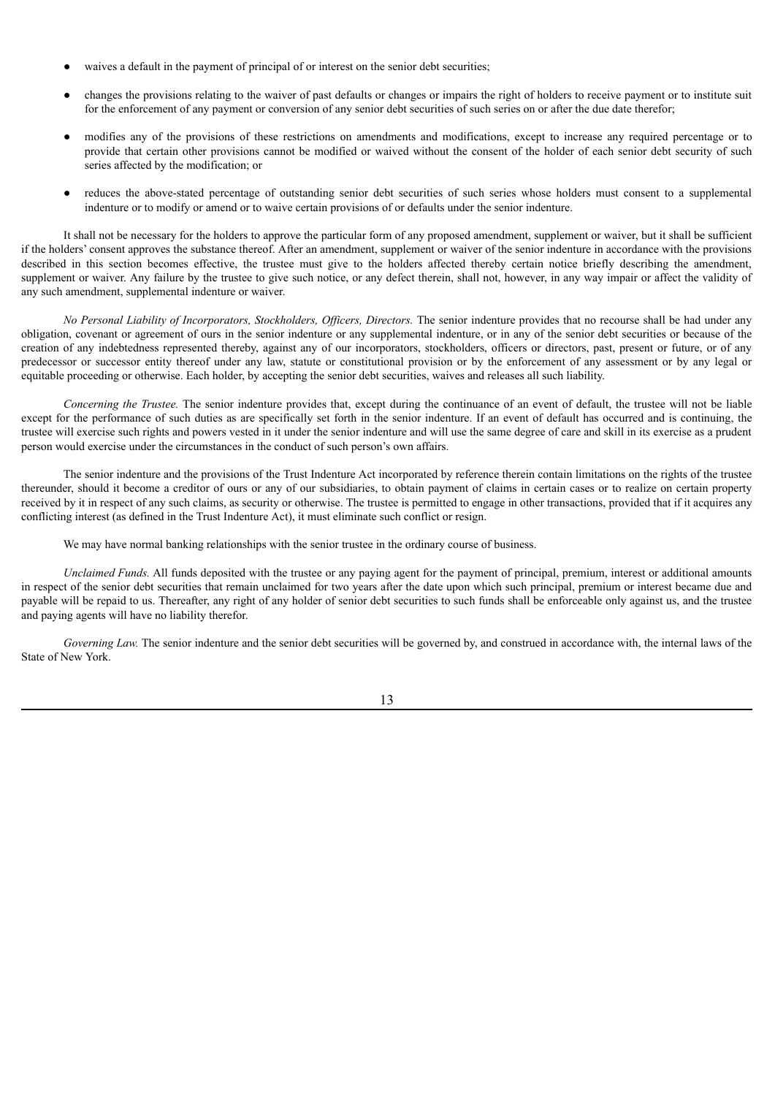- waives a default in the payment of principal of or interest on the senior debt securities;
- changes the provisions relating to the waiver of past defaults or changes or impairs the right of holders to receive payment or to institute suit for the enforcement of any payment or conversion of any senior debt securities of such series on or after the due date therefor;
- modifies any of the provisions of these restrictions on amendments and modifications, except to increase any required percentage or to provide that certain other provisions cannot be modified or waived without the consent of the holder of each senior debt security of such series affected by the modification; or
- reduces the above-stated percentage of outstanding senior debt securities of such series whose holders must consent to a supplemental indenture or to modify or amend or to waive certain provisions of or defaults under the senior indenture.

It shall not be necessary for the holders to approve the particular form of any proposed amendment, supplement or waiver, but it shall be sufficient if the holders' consent approves the substance thereof. After an amendment, supplement or waiver of the senior indenture in accordance with the provisions described in this section becomes effective, the trustee must give to the holders affected thereby certain notice briefly describing the amendment, supplement or waiver. Any failure by the trustee to give such notice, or any defect therein, shall not, however, in any way impair or affect the validity of any such amendment, supplemental indenture or waiver.

*No Personal Liability of Incorporators, Stockholders, Of icers, Directors.* The senior indenture provides that no recourse shall be had under any obligation, covenant or agreement of ours in the senior indenture or any supplemental indenture, or in any of the senior debt securities or because of the creation of any indebtedness represented thereby, against any of our incorporators, stockholders, officers or directors, past, present or future, or of any predecessor or successor entity thereof under any law, statute or constitutional provision or by the enforcement of any assessment or by any legal or equitable proceeding or otherwise. Each holder, by accepting the senior debt securities, waives and releases all such liability.

*Concerning the Trustee.* The senior indenture provides that, except during the continuance of an event of default, the trustee will not be liable except for the performance of such duties as are specifically set forth in the senior indenture. If an event of default has occurred and is continuing, the trustee will exercise such rights and powers vested in it under the senior indenture and will use the same degree of care and skill in its exercise as a prudent person would exercise under the circumstances in the conduct of such person's own affairs.

The senior indenture and the provisions of the Trust Indenture Act incorporated by reference therein contain limitations on the rights of the trustee thereunder, should it become a creditor of ours or any of our subsidiaries, to obtain payment of claims in certain cases or to realize on certain property received by it in respect of any such claims, as security or otherwise. The trustee is permitted to engage in other transactions, provided that if it acquires any conflicting interest (as defined in the Trust Indenture Act), it must eliminate such conflict or resign.

We may have normal banking relationships with the senior trustee in the ordinary course of business.

*Unclaimed Funds.* All funds deposited with the trustee or any paying agent for the payment of principal, premium, interest or additional amounts in respect of the senior debt securities that remain unclaimed for two years after the date upon which such principal, premium or interest became due and payable will be repaid to us. Thereafter, any right of any holder of senior debt securities to such funds shall be enforceable only against us, and the trustee and paying agents will have no liability therefor.

*Governing Law.* The senior indenture and the senior debt securities will be governed by, and construed in accordance with, the internal laws of the State of New York.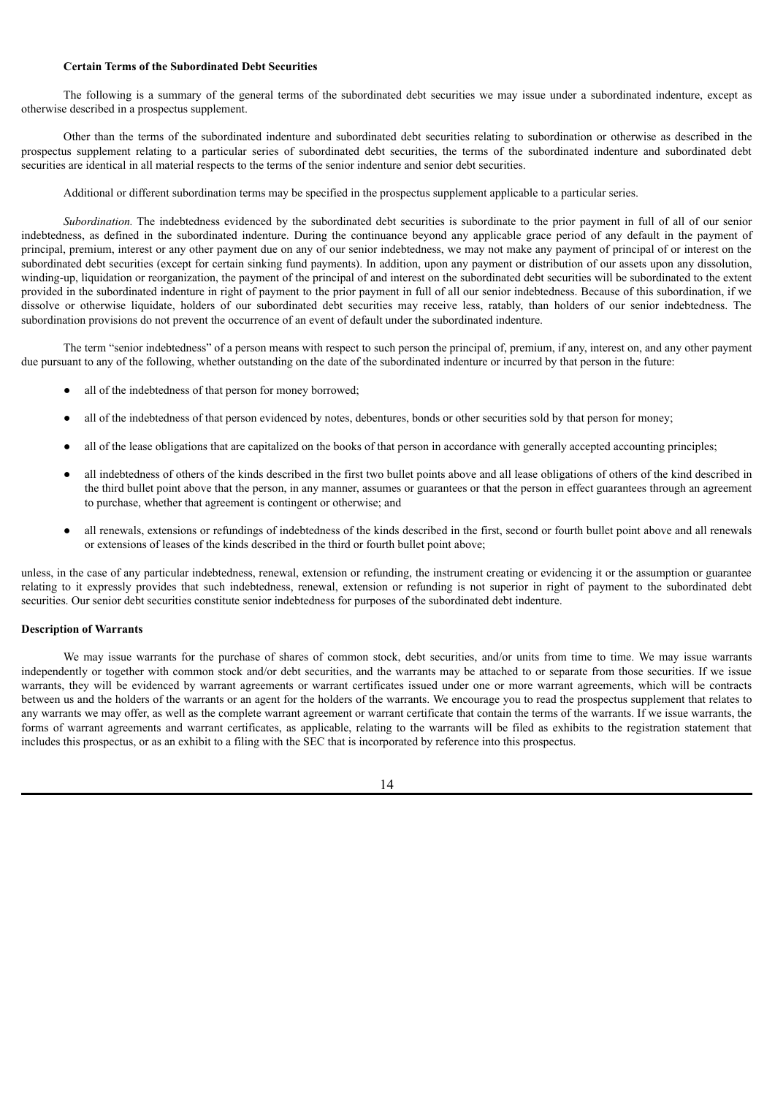## **Certain Terms of the Subordinated Debt Securities**

The following is a summary of the general terms of the subordinated debt securities we may issue under a subordinated indenture, except as otherwise described in a prospectus supplement.

Other than the terms of the subordinated indenture and subordinated debt securities relating to subordination or otherwise as described in the prospectus supplement relating to a particular series of subordinated debt securities, the terms of the subordinated indenture and subordinated debt securities are identical in all material respects to the terms of the senior indenture and senior debt securities.

Additional or different subordination terms may be specified in the prospectus supplement applicable to a particular series.

*Subordination.* The indebtedness evidenced by the subordinated debt securities is subordinate to the prior payment in full of all of our senior indebtedness, as defined in the subordinated indenture. During the continuance beyond any applicable grace period of any default in the payment of principal, premium, interest or any other payment due on any of our senior indebtedness, we may not make any payment of principal of or interest on the subordinated debt securities (except for certain sinking fund payments). In addition, upon any payment or distribution of our assets upon any dissolution, winding-up, liquidation or reorganization, the payment of the principal of and interest on the subordinated debt securities will be subordinated to the extent provided in the subordinated indenture in right of payment to the prior payment in full of all our senior indebtedness. Because of this subordination, if we dissolve or otherwise liquidate, holders of our subordinated debt securities may receive less, ratably, than holders of our senior indebtedness. The subordination provisions do not prevent the occurrence of an event of default under the subordinated indenture.

The term "senior indebtedness" of a person means with respect to such person the principal of, premium, if any, interest on, and any other payment due pursuant to any of the following, whether outstanding on the date of the subordinated indenture or incurred by that person in the future:

- all of the indebtedness of that person for money borrowed;
- all of the indebtedness of that person evidenced by notes, debentures, bonds or other securities sold by that person for money;
- all of the lease obligations that are capitalized on the books of that person in accordance with generally accepted accounting principles;
- all indebtedness of others of the kinds described in the first two bullet points above and all lease obligations of others of the kind described in the third bullet point above that the person, in any manner, assumes or guarantees or that the person in effect guarantees through an agreement to purchase, whether that agreement is contingent or otherwise; and
- all renewals, extensions or refundings of indebtedness of the kinds described in the first, second or fourth bullet point above and all renewals or extensions of leases of the kinds described in the third or fourth bullet point above;

unless, in the case of any particular indebtedness, renewal, extension or refunding, the instrument creating or evidencing it or the assumption or guarantee relating to it expressly provides that such indebtedness, renewal, extension or refunding is not superior in right of payment to the subordinated debt securities. Our senior debt securities constitute senior indebtedness for purposes of the subordinated debt indenture.

## <span id="page-28-0"></span>**Description of Warrants**

We may issue warrants for the purchase of shares of common stock, debt securities, and/or units from time to time. We may issue warrants independently or together with common stock and/or debt securities, and the warrants may be attached to or separate from those securities. If we issue warrants, they will be evidenced by warrant agreements or warrant certificates issued under one or more warrant agreements, which will be contracts between us and the holders of the warrants or an agent for the holders of the warrants. We encourage you to read the prospectus supplement that relates to any warrants we may offer, as well as the complete warrant agreement or warrant certificate that contain the terms of the warrants. If we issue warrants, the forms of warrant agreements and warrant certificates, as applicable, relating to the warrants will be filed as exhibits to the registration statement that includes this prospectus, or as an exhibit to a filing with the SEC that is incorporated by reference into this prospectus.

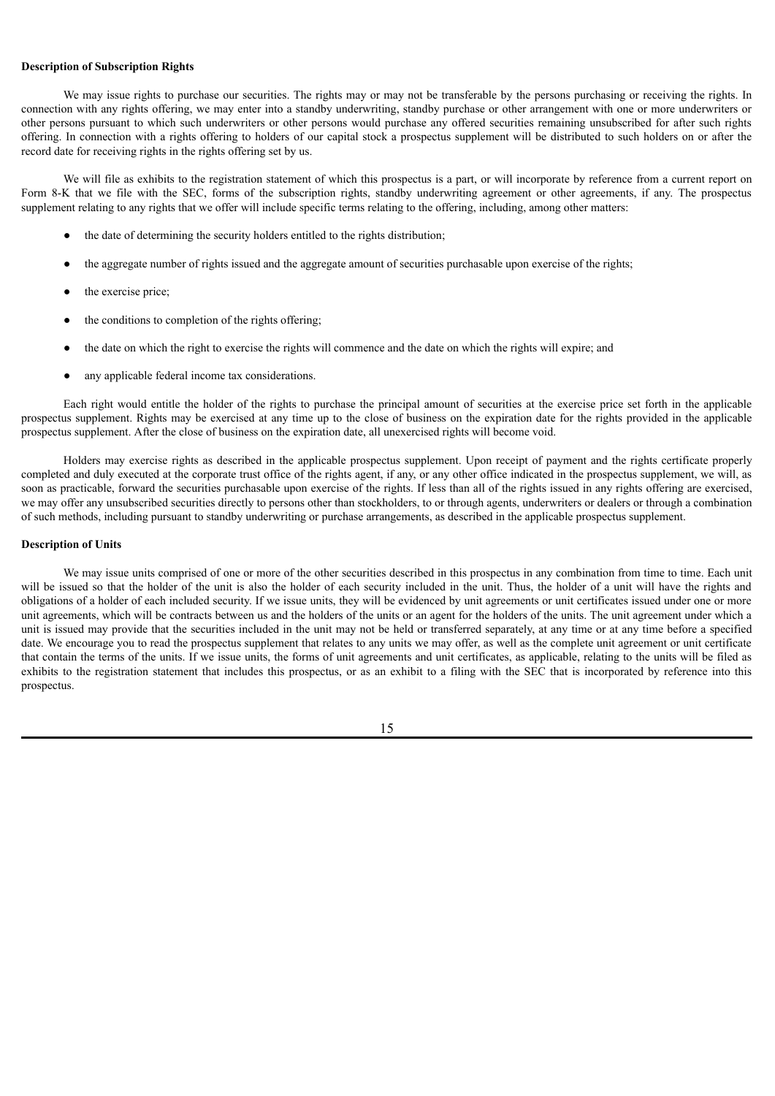#### <span id="page-29-0"></span>**Description of Subscription Rights**

We may issue rights to purchase our securities. The rights may or may not be transferable by the persons purchasing or receiving the rights. In connection with any rights offering, we may enter into a standby underwriting, standby purchase or other arrangement with one or more underwriters or other persons pursuant to which such underwriters or other persons would purchase any offered securities remaining unsubscribed for after such rights offering. In connection with a rights offering to holders of our capital stock a prospectus supplement will be distributed to such holders on or after the record date for receiving rights in the rights offering set by us.

We will file as exhibits to the registration statement of which this prospectus is a part, or will incorporate by reference from a current report on Form 8-K that we file with the SEC, forms of the subscription rights, standby underwriting agreement or other agreements, if any. The prospectus supplement relating to any rights that we offer will include specific terms relating to the offering, including, among other matters:

- the date of determining the security holders entitled to the rights distribution;
- the aggregate number of rights issued and the aggregate amount of securities purchasable upon exercise of the rights;
- the exercise price;
- the conditions to completion of the rights offering;
- the date on which the right to exercise the rights will commence and the date on which the rights will expire; and
- any applicable federal income tax considerations.

Each right would entitle the holder of the rights to purchase the principal amount of securities at the exercise price set forth in the applicable prospectus supplement. Rights may be exercised at any time up to the close of business on the expiration date for the rights provided in the applicable prospectus supplement. After the close of business on the expiration date, all unexercised rights will become void.

Holders may exercise rights as described in the applicable prospectus supplement. Upon receipt of payment and the rights certificate properly completed and duly executed at the corporate trust office of the rights agent, if any, or any other office indicated in the prospectus supplement, we will, as soon as practicable, forward the securities purchasable upon exercise of the rights. If less than all of the rights issued in any rights offering are exercised, we may offer any unsubscribed securities directly to persons other than stockholders, to or through agents, underwriters or dealers or through a combination of such methods, including pursuant to standby underwriting or purchase arrangements, as described in the applicable prospectus supplement.

#### <span id="page-29-1"></span>**Description of Units**

We may issue units comprised of one or more of the other securities described in this prospectus in any combination from time to time. Each unit will be issued so that the holder of the unit is also the holder of each security included in the unit. Thus, the holder of a unit will have the rights and obligations of a holder of each included security. If we issue units, they will be evidenced by unit agreements or unit certificates issued under one or more unit agreements, which will be contracts between us and the holders of the units or an agent for the holders of the units. The unit agreement under which a unit is issued may provide that the securities included in the unit may not be held or transferred separately, at any time or at any time before a specified date. We encourage you to read the prospectus supplement that relates to any units we may offer, as well as the complete unit agreement or unit certificate that contain the terms of the units. If we issue units, the forms of unit agreements and unit certificates, as applicable, relating to the units will be filed as exhibits to the registration statement that includes this prospectus, or as an exhibit to a filing with the SEC that is incorporated by reference into this prospectus.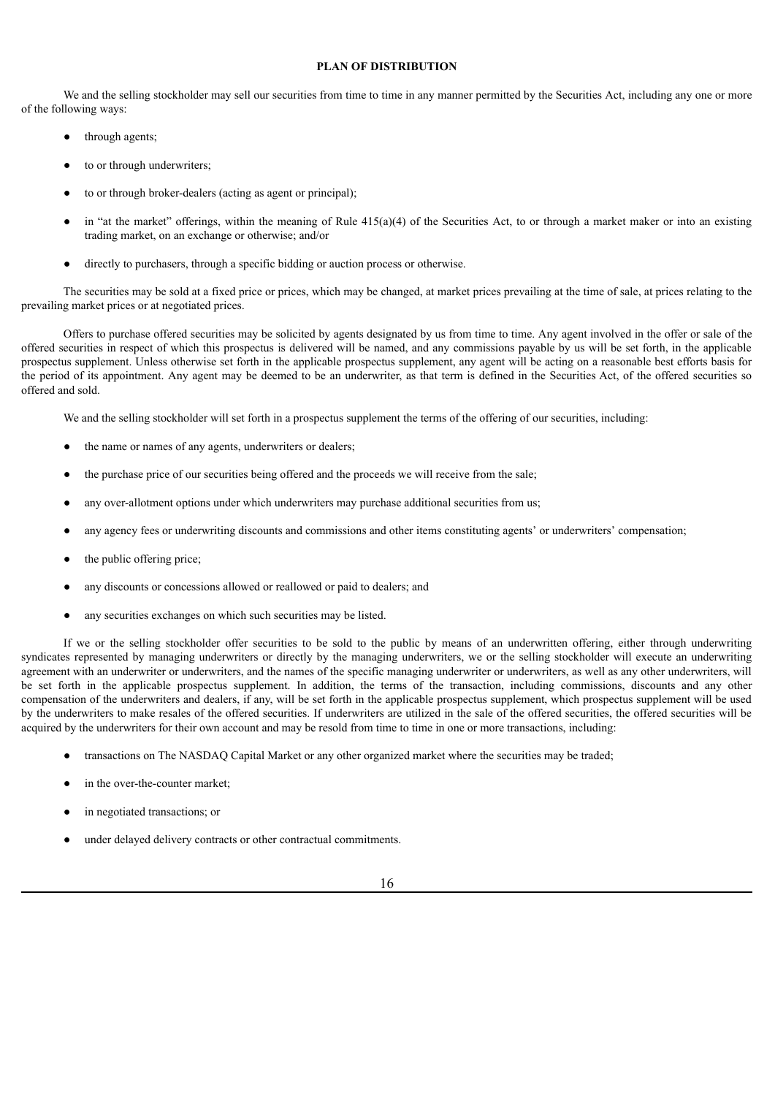### **PLAN OF DISTRIBUTION**

<span id="page-30-0"></span>We and the selling stockholder may sell our securities from time to time in any manner permitted by the Securities Act, including any one or more of the following ways:

- through agents;
- to or through underwriters;
- to or through broker-dealers (acting as agent or principal);
- in "at the market" offerings, within the meaning of Rule  $415(a)(4)$  of the Securities Act, to or through a market maker or into an existing trading market, on an exchange or otherwise; and/or
- directly to purchasers, through a specific bidding or auction process or otherwise.

The securities may be sold at a fixed price or prices, which may be changed, at market prices prevailing at the time of sale, at prices relating to the prevailing market prices or at negotiated prices.

Offers to purchase offered securities may be solicited by agents designated by us from time to time. Any agent involved in the offer or sale of the offered securities in respect of which this prospectus is delivered will be named, and any commissions payable by us will be set forth, in the applicable prospectus supplement. Unless otherwise set forth in the applicable prospectus supplement, any agent will be acting on a reasonable best efforts basis for the period of its appointment. Any agent may be deemed to be an underwriter, as that term is defined in the Securities Act, of the offered securities so offered and sold.

We and the selling stockholder will set forth in a prospectus supplement the terms of the offering of our securities, including:

- the name or names of any agents, underwriters or dealers;
- the purchase price of our securities being offered and the proceeds we will receive from the sale;
- any over-allotment options under which underwriters may purchase additional securities from us;
- any agency fees or underwriting discounts and commissions and other items constituting agents' or underwriters' compensation;
- the public offering price;
- any discounts or concessions allowed or reallowed or paid to dealers; and
- any securities exchanges on which such securities may be listed.

If we or the selling stockholder offer securities to be sold to the public by means of an underwritten offering, either through underwriting syndicates represented by managing underwriters or directly by the managing underwriters, we or the selling stockholder will execute an underwriting agreement with an underwriter or underwriters, and the names of the specific managing underwriter or underwriters, as well as any other underwriters, will be set forth in the applicable prospectus supplement. In addition, the terms of the transaction, including commissions, discounts and any other compensation of the underwriters and dealers, if any, will be set forth in the applicable prospectus supplement, which prospectus supplement will be used by the underwriters to make resales of the offered securities. If underwriters are utilized in the sale of the offered securities, the offered securities will be acquired by the underwriters for their own account and may be resold from time to time in one or more transactions, including:

- transactions on The NASDAQ Capital Market or any other organized market where the securities may be traded;
- in the over-the-counter market;
- in negotiated transactions; or
- under delayed delivery contracts or other contractual commitments.
	- 16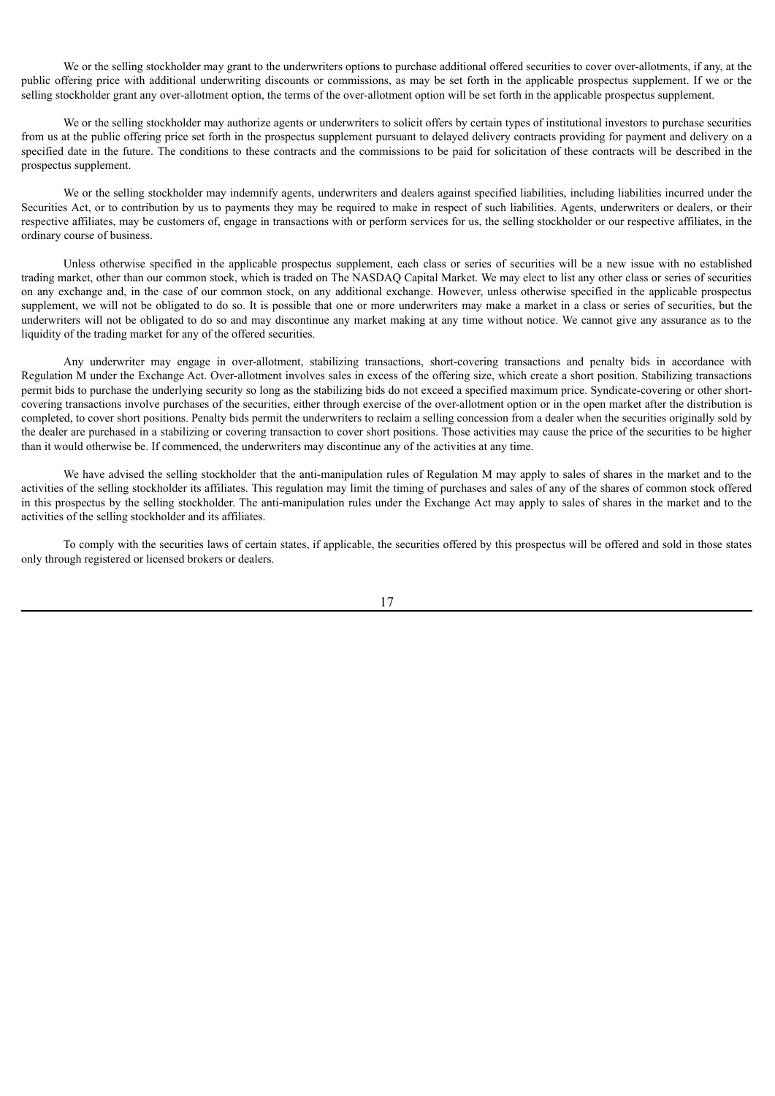We or the selling stockholder may grant to the underwriters options to purchase additional offered securities to cover over-allotments, if any, at the public offering price with additional underwriting discounts or commissions, as may be set forth in the applicable prospectus supplement. If we or the selling stockholder grant any over-allotment option, the terms of the over-allotment option will be set forth in the applicable prospectus supplement.

We or the selling stockholder may authorize agents or underwriters to solicit offers by certain types of institutional investors to purchase securities from us at the public offering price set forth in the prospectus supplement pursuant to delayed delivery contracts providing for payment and delivery on a specified date in the future. The conditions to these contracts and the commissions to be paid for solicitation of these contracts will be described in the prospectus supplement.

We or the selling stockholder may indemnify agents, underwriters and dealers against specified liabilities, including liabilities incurred under the Securities Act, or to contribution by us to payments they may be required to make in respect of such liabilities. Agents, underwriters or dealers, or their respective affiliates, may be customers of, engage in transactions with or perform services for us, the selling stockholder or our respective affiliates, in the ordinary course of business.

Unless otherwise specified in the applicable prospectus supplement, each class or series of securities will be a new issue with no established trading market, other than our common stock, which is traded on The NASDAQ Capital Market. We may elect to list any other class or series of securities on any exchange and, in the case of our common stock, on any additional exchange. However, unless otherwise specified in the applicable prospectus supplement, we will not be obligated to do so. It is possible that one or more underwriters may make a market in a class or series of securities, but the underwriters will not be obligated to do so and may discontinue any market making at any time without notice. We cannot give any assurance as to the liquidity of the trading market for any of the offered securities.

Any underwriter may engage in over-allotment, stabilizing transactions, short-covering transactions and penalty bids in accordance with Regulation M under the Exchange Act. Over-allotment involves sales in excess of the offering size, which create a short position. Stabilizing transactions permit bids to purchase the underlying security so long as the stabilizing bids do not exceed a specified maximum price. Syndicate-covering or other shortcovering transactions involve purchases of the securities, either through exercise of the over-allotment option or in the open market after the distribution is completed, to cover short positions. Penalty bids permit the underwriters to reclaim a selling concession from a dealer when the securities originally sold by the dealer are purchased in a stabilizing or covering transaction to cover short positions. Those activities may cause the price of the securities to be higher than it would otherwise be. If commenced, the underwriters may discontinue any of the activities at any time.

We have advised the selling stockholder that the anti-manipulation rules of Regulation M may apply to sales of shares in the market and to the activities of the selling stockholder its affiliates. This regulation may limit the timing of purchases and sales of any of the shares of common stock offered in this prospectus by the selling stockholder. The anti-manipulation rules under the Exchange Act may apply to sales of shares in the market and to the activities of the selling stockholder and its affiliates.

To comply with the securities laws of certain states, if applicable, the securities offered by this prospectus will be offered and sold in those states only through registered or licensed brokers or dealers.

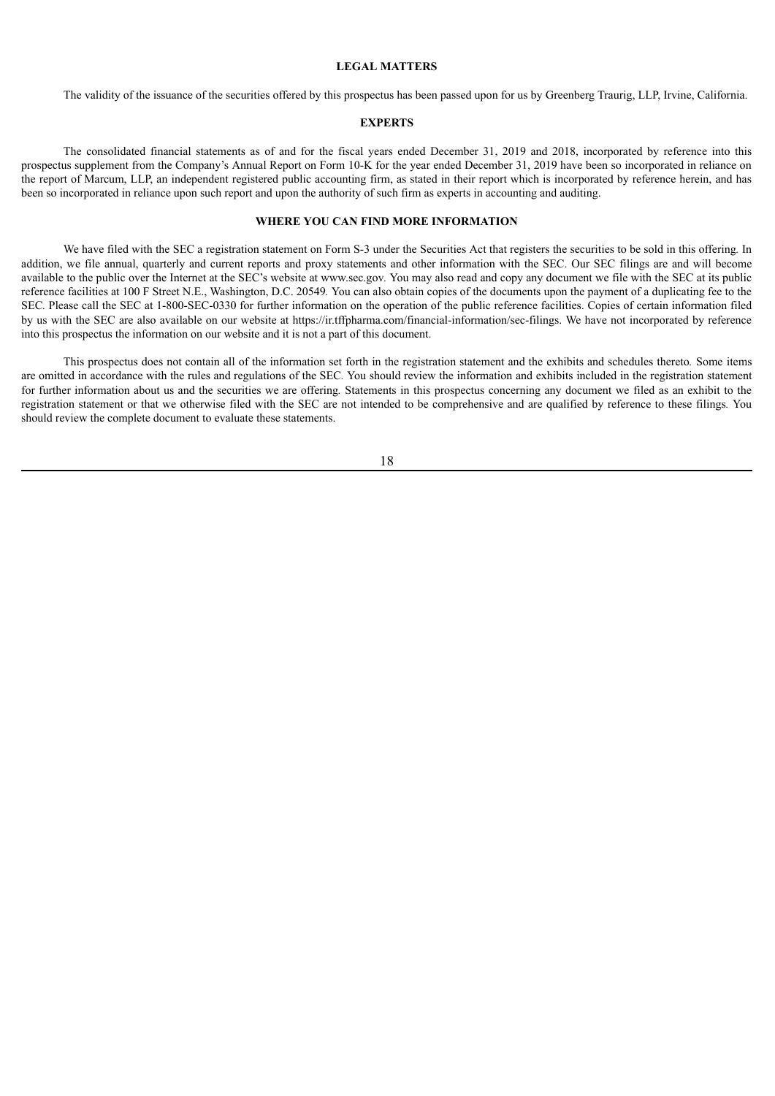#### **LEGAL MATTERS**

<span id="page-32-0"></span>The validity of the issuance of the securities offered by this prospectus has been passed upon for us by Greenberg Traurig, LLP, Irvine, California.

#### **EXPERTS**

<span id="page-32-1"></span>The consolidated financial statements as of and for the fiscal years ended December 31, 2019 and 2018, incorporated by reference into this prospectus supplement from the Company's Annual Report on Form 10-K for the year ended December 31, 2019 have been so incorporated in reliance on the report of Marcum, LLP, an independent registered public accounting firm, as stated in their report which is incorporated by reference herein, and has been so incorporated in reliance upon such report and upon the authority of such firm as experts in accounting and auditing.

#### **WHERE YOU CAN FIND MORE INFORMATION**

<span id="page-32-2"></span>We have filed with the SEC a registration statement on Form S-3 under the Securities Act that registers the securities to be sold in this offering*.* In addition, we file annual, quarterly and current reports and proxy statements and other information with the SEC. Our SEC filings are and will become available to the public over the Internet at the SEC's website at www.sec.gov*.* You may also read and copy any document we file with the SEC at its public reference facilities at 100 F Street N.E., Washington, D.C. 20549*.* You can also obtain copies of the documents upon the payment of a duplicating fee to the SEC*.* Please call the SEC at 1-800-SEC-0330 for further information on the operation of the public reference facilities. Copies of certain information filed by us with the SEC are also available on our website at https://ir.tffpharma.com/financial-information/sec-filings. We have not incorporated by reference into this prospectus the information on our website and it is not a part of this document.

This prospectus does not contain all of the information set forth in the registration statement and the exhibits and schedules thereto*.* Some items are omitted in accordance with the rules and regulations of the SEC*.* You should review the information and exhibits included in the registration statement for further information about us and the securities we are offering*.* Statements in this prospectus concerning any document we filed as an exhibit to the registration statement or that we otherwise filed with the SEC are not intended to be comprehensive and are qualified by reference to these filings*.* You should review the complete document to evaluate these statements.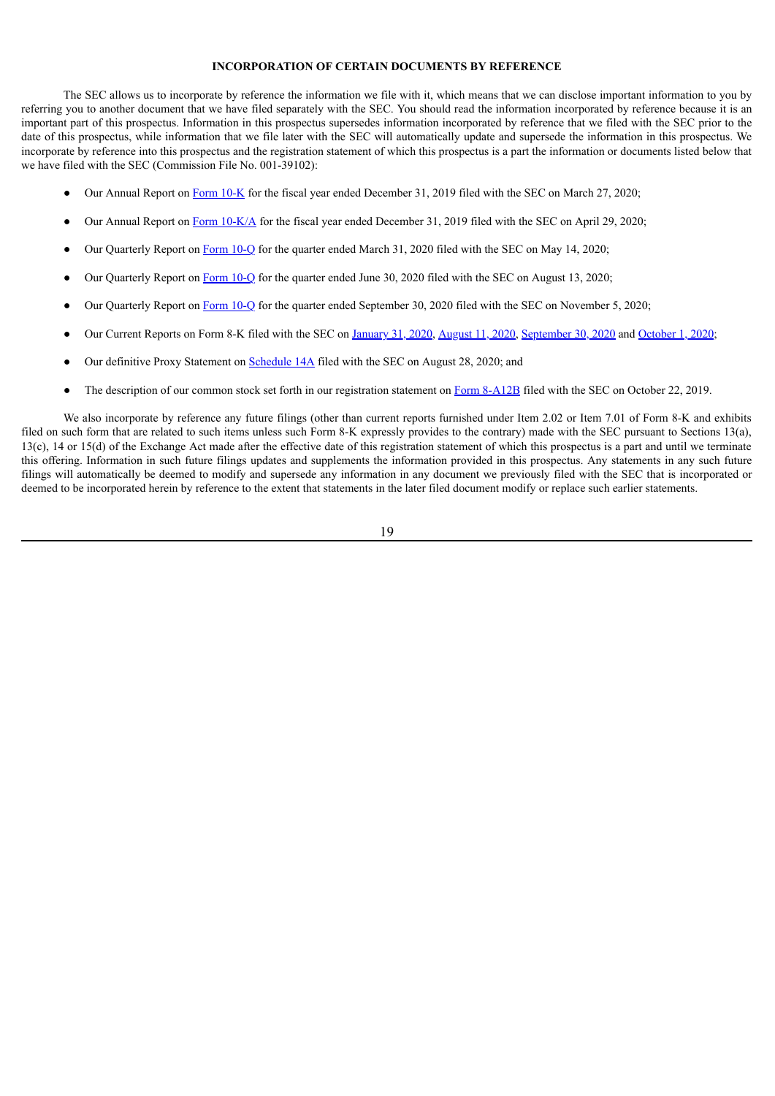## **INCORPORATION OF CERTAIN DOCUMENTS BY REFERENCE**

<span id="page-33-0"></span>The SEC allows us to incorporate by reference the information we file with it, which means that we can disclose important information to you by referring you to another document that we have filed separately with the SEC. You should read the information incorporated by reference because it is an important part of this prospectus. Information in this prospectus supersedes information incorporated by reference that we filed with the SEC prior to the date of this prospectus, while information that we file later with the SEC will automatically update and supersede the information in this prospectus. We incorporate by reference into this prospectus and the registration statement of which this prospectus is a part the information or documents listed below that we have filed with the SEC (Commission File No. 001-39102):

- Our Annual Report on [Form](http://www.sec.gov/Archives/edgar/data/1733413/000121390020007544/f10k2019_tffpharma.htm) 10-K for the fiscal year ended December 31, 2019 filed with the SEC on March 27, 2020;
- Our Annual Report on Form  $10-K/A$  for the fiscal year ended December 31, 2019 filed with the SEC on April 29, 2020;
- Our Quarterly Report on [Form](http://www.sec.gov/Archives/edgar/data/1733413/000121390020012260/f10q0320_tffpharma.htm) 10-Q for the quarter ended March 31, 2020 filed with the SEC on May 14, 2020;
- Our Quarterly Report on [Form](http://www.sec.gov/Archives/edgar/data/1733413/000121390020021865/f10q0620_tffpharma.htm) 10-Q for the quarter ended June 30, 2020 filed with the SEC on August 13, 2020;
- Our Quarterly Report on [Form](http://www.sec.gov/Archives/edgar/data/1733413/000121390020035277/f10q0920_tffpharma.htm) 10-Q for the quarter ended September 30, 2020 filed with the SEC on November 5, 2020;
- Our Current Reports on Form 8-K filed with the SEC on [January](http://www.sec.gov/Archives/edgar/data/1733413/000121390020002287/f8k012720_tffpharmaceuticals.htm) 31, 2020, [August](http://www.sec.gov/Archives/edgar/data/1733413/000121390020021315/ea125332-8k_tffpharma.htm) 11, 2020, [September](http://www.sec.gov/Archives/edgar/data/1733413/000121390020028933/ea127539-8k_tffpharma.htm) 30, 2020 and [October](http://www.sec.gov/Archives/edgar/data/1733413/000121390020029506/ea127673-8k_tffpharma.htm) 1, 2020;
- Our definitive Proxy Statement on [Schedule](http://www.sec.gov/Archives/edgar/data/1733413/000121390020024262/ea126131-def14a_tffpharma.htm) 14A filed with the SEC on August 28, 2020; and
- The description of our common stock set forth in our registration statement on Form [8-A12B](http://www.sec.gov/Archives/edgar/data/1733413/000121390019020831/f8a12b101519_tffpharma.htm) filed with the SEC on October 22, 2019.

We also incorporate by reference any future filings (other than current reports furnished under Item 2.02 or Item 7.01 of Form 8-K and exhibits filed on such form that are related to such items unless such Form 8-K expressly provides to the contrary) made with the SEC pursuant to Sections 13(a), 13(c), 14 or 15(d) of the Exchange Act made after the effective date of this registration statement of which this prospectus is a part and until we terminate this offering. Information in such future filings updates and supplements the information provided in this prospectus. Any statements in any such future filings will automatically be deemed to modify and supersede any information in any document we previously filed with the SEC that is incorporated or deemed to be incorporated herein by reference to the extent that statements in the later filed document modify or replace such earlier statements.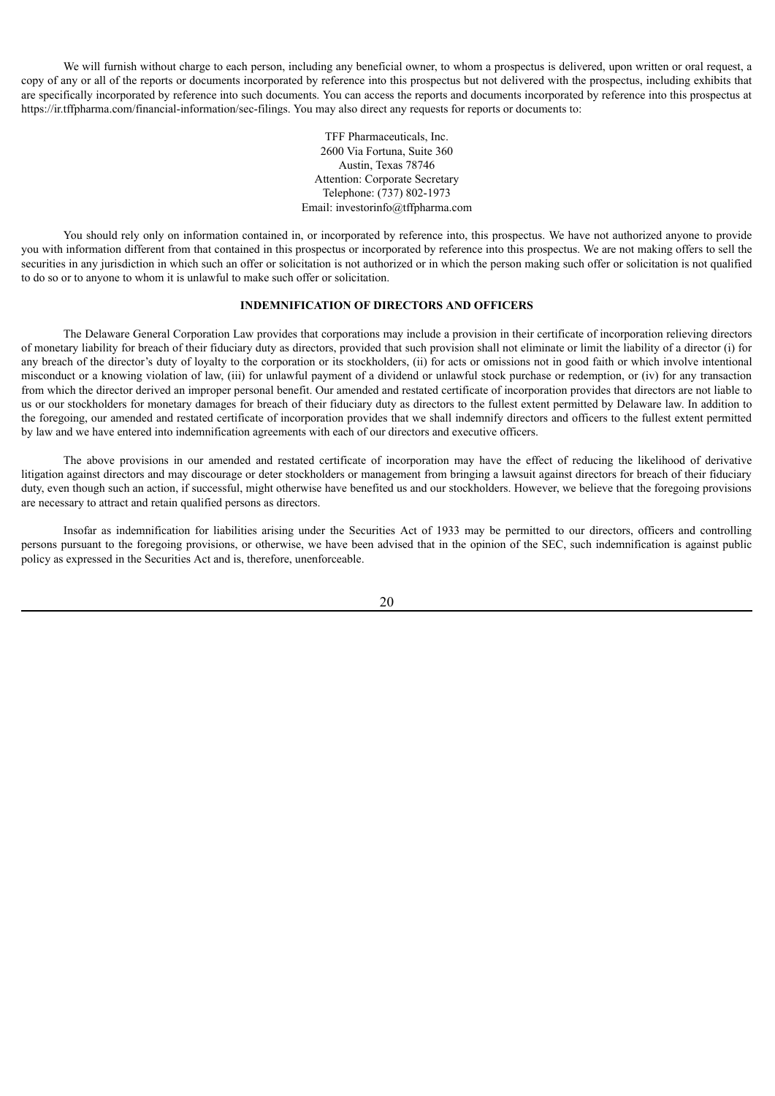We will furnish without charge to each person, including any beneficial owner, to whom a prospectus is delivered, upon written or oral request, a copy of any or all of the reports or documents incorporated by reference into this prospectus but not delivered with the prospectus, including exhibits that are specifically incorporated by reference into such documents. You can access the reports and documents incorporated by reference into this prospectus at https://ir.tffpharma.com/financial-information/sec-filings. You may also direct any requests for reports or documents to:

> TFF Pharmaceuticals, Inc. 2600 Via Fortuna, Suite 360 Austin, Texas 78746 Attention: Corporate Secretary Telephone: (737) 802-1973 Email: investorinfo@tffpharma.com

You should rely only on information contained in, or incorporated by reference into, this prospectus. We have not authorized anyone to provide you with information different from that contained in this prospectus or incorporated by reference into this prospectus. We are not making offers to sell the securities in any jurisdiction in which such an offer or solicitation is not authorized or in which the person making such offer or solicitation is not qualified to do so or to anyone to whom it is unlawful to make such offer or solicitation.

## **INDEMNIFICATION OF DIRECTORS AND OFFICERS**

<span id="page-34-0"></span>The Delaware General Corporation Law provides that corporations may include a provision in their certificate of incorporation relieving directors of monetary liability for breach of their fiduciary duty as directors, provided that such provision shall not eliminate or limit the liability of a director (i) for any breach of the director's duty of loyalty to the corporation or its stockholders, (ii) for acts or omissions not in good faith or which involve intentional misconduct or a knowing violation of law, (iii) for unlawful payment of a dividend or unlawful stock purchase or redemption, or (iv) for any transaction from which the director derived an improper personal benefit. Our amended and restated certificate of incorporation provides that directors are not liable to us or our stockholders for monetary damages for breach of their fiduciary duty as directors to the fullest extent permitted by Delaware law. In addition to the foregoing, our amended and restated certificate of incorporation provides that we shall indemnify directors and officers to the fullest extent permitted by law and we have entered into indemnification agreements with each of our directors and executive officers.

The above provisions in our amended and restated certificate of incorporation may have the effect of reducing the likelihood of derivative litigation against directors and may discourage or deter stockholders or management from bringing a lawsuit against directors for breach of their fiduciary duty, even though such an action, if successful, might otherwise have benefited us and our stockholders. However, we believe that the foregoing provisions are necessary to attract and retain qualified persons as directors.

Insofar as indemnification for liabilities arising under the Securities Act of 1933 may be permitted to our directors, officers and controlling persons pursuant to the foregoing provisions, or otherwise, we have been advised that in the opinion of the SEC, such indemnification is against public policy as expressed in the Securities Act and is, therefore, unenforceable.